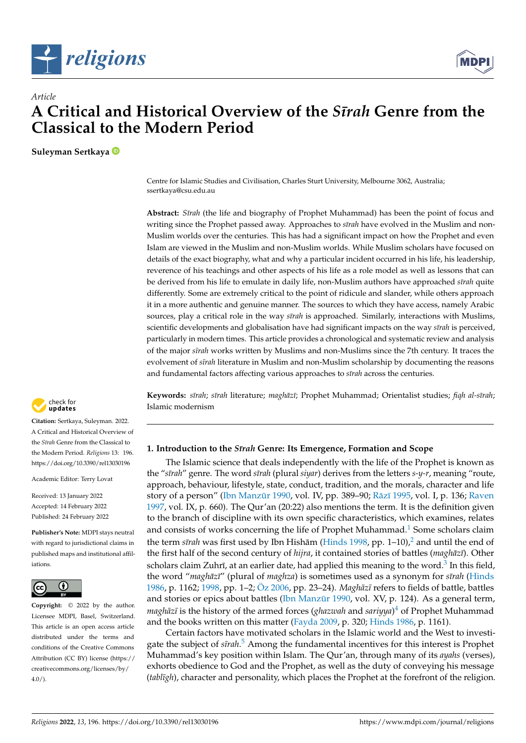



# *Article* **A Critical and Historical Overview of the** *S¯ırah* **Genre from the Classical to the Modern Period**

**Suleyman Sertkaya**

Centre for Islamic Studies and Civilisation, Charles Sturt University, Melbourne 3062, Australia; ssertkaya@csu.edu.au

**Abstract:** *S¯ırah* (the life and biography of Prophet Muhammad) has been the point of focus and writing since the Prophet passed away. Approaches to *sīrah* have evolved in the Muslim and non-Muslim worlds over the centuries. This has had a significant impact on how the Prophet and even Islam are viewed in the Muslim and non-Muslim worlds. While Muslim scholars have focused on details of the exact biography, what and why a particular incident occurred in his life, his leadership, reverence of his teachings and other aspects of his life as a role model as well as lessons that can be derived from his life to emulate in daily life, non-Muslim authors have approached *sīrah* quite differently. Some are extremely critical to the point of ridicule and slander, while others approach it in a more authentic and genuine manner. The sources to which they have access, namely Arabic sources, play a critical role in the way *sīrah* is approached. Similarly, interactions with Muslims, scientific developments and globalisation have had significant impacts on the way *sīrah* is perceived, particularly in modern times. This article provides a chronological and systematic review and analysis of the major *s¯ırah* works written by Muslims and non-Muslims since the 7th century. It traces the evolvement of *sīrah* literature in Muslim and non-Muslim scholarship by documenting the reasons and fundamental factors affecting various approaches to *sīrah* across the centuries.

**Keywords:** *s¯ırah*; *s¯ırah* literature; *maghaz¯ ¯ı*; Prophet Muhammad; Orientalist studies; *fiqh al-s¯ırah*; Islamic modernism

## **1. Introduction to the** *S¯ırah* **Genre: Its Emergence, Formation and Scope**

<span id="page-0-1"></span><span id="page-0-0"></span>The Islamic science that deals independently with the life of the Prophet is known as the "*s¯ırah*" genre. The word *s¯ırah* (plural *siyar*) derives from the letters *s-y-r*, meaning "route, approach, behaviour, lifestyle, state, conduct, tradition, and the morals, character and life story of a person" (Ibn Manzūr [1990,](#page-19-0) vol. IV, pp. 389–90; Rāzī [1995,](#page-19-1) vol. I, p. 136; [Raven](#page-19-2) [1997,](#page-19-2) vol. IX, p. 660). The Qur'an (20:22) also mentions the term. It is the definition given to the branch of discipline with its own specific characteristics, which examines, relates and consists of works concerning the life of Prophet Muhammad.<sup>[1](#page-16-0)</sup> Some scholars claim the term *sīrah* was first used by Ibn Hishām ([Hinds](#page-19-3) [1998,](#page-19-3) pp. 1–10),<sup>[2](#page-16-1)</sup> and until the end of the first half of the second century of *hijra*, it contained stories of battles (*maghāzī*). Other scholars claim Zuhrī, at an earlier date, had applied this meaning to the word. $^3$  $^3$  In this field, the word "*maghaz¯ ¯ı*" (plural of *maghza*) is sometimes used as a synonym for *s¯ırah* [\(Hinds](#page-19-4) [1986,](#page-19-4) p. 1162; [1998,](#page-19-3) pp. 1-2; [Öz](#page-19-5) [2006,](#page-19-5) pp. 23-24). *Maghāzī* refers to fields of battle, battles and stories or epics about battles (Ibn Manzūr [1990,](#page-19-0) vol. XV, p. 124). As a general term, *maghāzī* is the history of the armed forces (*ghazwah* and *sariyya*)<sup>[4](#page-16-3)</sup> of Prophet Muhammad and the books written on this matter [\(Fayda](#page-19-6) [2009,](#page-19-6) p. 320; [Hinds](#page-19-4) [1986,](#page-19-4) p. 1161).

<span id="page-0-4"></span><span id="page-0-3"></span><span id="page-0-2"></span>Certain factors have motivated scholars in the Islamic world and the West to investigate the subject of *sīrah*.<sup>[5](#page-16-4)</sup> Among the fundamental incentives for this interest is Prophet Muhammad's key position within Islam. The Qur'an, through many of its *ayahs* (verses), exhorts obedience to God and the Prophet, as well as the duty of conveying his message (tablīgh), character and personality, which places the Prophet at the forefront of the religion.



**Citation:** Sertkaya, Suleyman. 2022. A Critical and Historical Overview of the *S¯ırah* Genre from the Classical to the Modern Period. *Religions* 13: 196. <https://doi.org/10.3390/rel13030196>

Academic Editor: Terry Lovat

Received: 13 January 2022 Accepted: 14 February 2022 Published: 24 February 2022

**Publisher's Note:** MDPI stays neutral with regard to jurisdictional claims in published maps and institutional affiliations.



**Copyright:** © 2022 by the author. Licensee MDPI, Basel, Switzerland. This article is an open access article distributed under the terms and conditions of the Creative Commons Attribution (CC BY) license [\(https://](https://creativecommons.org/licenses/by/4.0/) [creativecommons.org/licenses/by/](https://creativecommons.org/licenses/by/4.0/)  $4.0/$ ).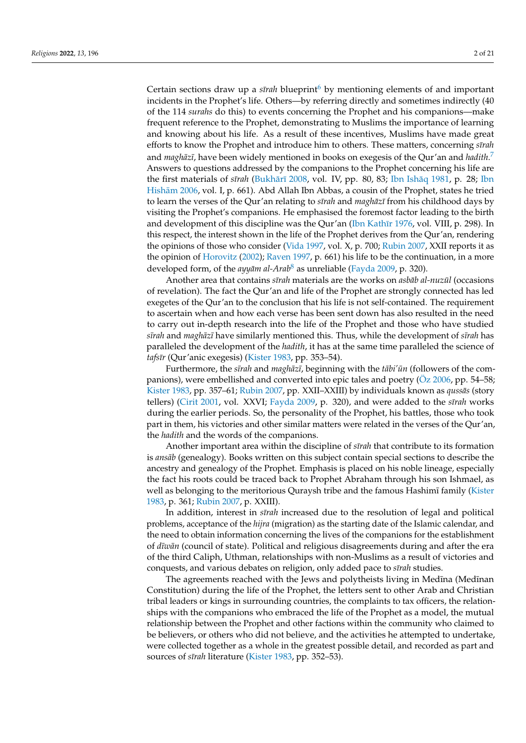<span id="page-1-1"></span><span id="page-1-0"></span>Certain sections draw up a *sīrah* blueprint<sup>[6](#page-16-5)</sup> by mentioning elements of and important incidents in the Prophet's life. Others—by referring directly and sometimes indirectly (40 of the 114 *surahs* do this) to events concerning the Prophet and his companions—make frequent reference to the Prophet, demonstrating to Muslims the importance of learning and knowing about his life. As a result of these incentives, Muslims have made great efforts to know the Prophet and introduce him to others. These matters, concerning *strah* and *maghāzī,* have been widely mentioned in books on exegesis of the Qur'an and *hadith.*<sup>[7](#page-16-6)</sup> Answers to questions addressed by the companions to the Prophet concerning his life are the first materials of *sīrah* (Bukhārī [2008,](#page-18-0) vol. IV, pp. 80, 83; Ibn Ishāq [1981,](#page-19-7) p. 28; [Ibn](#page-19-8) Hishām [2006,](#page-19-8) vol. I, p. 661). Abd Allah Ibn Abbas, a cousin of the Prophet, states he tried to learn the verses of the Qur'an relating to *sīrah* and *maghāzī* from his childhood days by visiting the Prophet's companions. He emphasised the foremost factor leading to the birth and development of this discipline was the Qur'an (Ibn Kathīr [1976,](#page-19-9) vol. VIII, p. 298). In this respect, the interest shown in the life of the Prophet derives from the Qur'an, rendering the opinions of those who consider [\(Vida](#page-20-0) [1997,](#page-20-0) vol. X, p. 700; [Rubin](#page-19-10) [2007,](#page-19-10) XXII reports it as the opinion of [Horovitz](#page-19-11) [\(2002\)](#page-19-11); [Raven](#page-19-2) [1997,](#page-19-2) p. 661) his life to be the continuation, in a more developed form*,* of the *ayyām al-Arab<sup>[8](#page-16-7)</sup> as unreliable [\(Fayda](#page-19-6) [2009,](#page-19-6) p. 320).* 

<span id="page-1-2"></span>Another area that contains *sīrah* materials are the works on *asbāb al-nuzūl* (occasions of revelation). The fact the Qur'an and life of the Prophet are strongly connected has led exegetes of the Qur'an to the conclusion that his life is not self-contained. The requirement to ascertain when and how each verse has been sent down has also resulted in the need to carry out in-depth research into the life of the Prophet and those who have studied *sīrah* and *maghāzī* have similarly mentioned this. Thus, while the development of *sīrah* has paralleled the development of the *hadith*, it has at the same time paralleled the science of *tafs¯ır* (Qur'anic exegesis) [\(Kister](#page-19-12) [1983,](#page-19-12) pp. 353–54).

Furthermore, the *sīrah* and *maghāzī*, beginning with the *tābi' ūn* (followers of the companions), were embellished and converted into epic tales and poetry [\(Öz](#page-19-5) [2006,](#page-19-5) pp. 54–58; [Kister](#page-19-12) [1983,](#page-19-12) pp. 357-61; [Rubin](#page-19-10) [2007,](#page-19-10) pp. XXII-XXIII) by individuals known as *qussās* (story tellers) [\(Cirit](#page-18-1) [2001,](#page-18-1) vol. XXVI; [Fayda](#page-19-6) [2009,](#page-19-6) p. 320), and were added to the *sīrah* works during the earlier periods. So, the personality of the Prophet, his battles, those who took part in them, his victories and other similar matters were related in the verses of the Qur'an, the *hadith* and the words of the companions.

Another important area within the discipline of *s¯ırah* that contribute to its formation is *ansab* (genealogy). Books written on this subject contain special sections to describe the ancestry and genealogy of the Prophet. Emphasis is placed on his noble lineage, especially the fact his roots could be traced back to Prophet Abraham through his son Ishmael, as well as belonging to the meritorious Quraysh tribe and the famous Hashimī family [\(Kister](#page-19-12) [1983,](#page-19-12) p. 361; [Rubin](#page-19-10) [2007,](#page-19-10) p. XXIII).

In addition, interest in *sīrah* increased due to the resolution of legal and political problems, acceptance of the *hijra* (migration) as the starting date of the Islamic calendar, and the need to obtain information concerning the lives of the companions for the establishment of *d¯ıwan¯* (council of state). Political and religious disagreements during and after the era of the third Caliph, Uthman, relationships with non-Muslims as a result of victories and conquests, and various debates on religion, only added pace to *sīrah* studies.

The agreements reached with the Jews and polytheists living in Medīna (Medīnan Constitution) during the life of the Prophet, the letters sent to other Arab and Christian tribal leaders or kings in surrounding countries, the complaints to tax officers, the relationships with the companions who embraced the life of the Prophet as a model, the mutual relationship between the Prophet and other factions within the community who claimed to be believers, or others who did not believe, and the activities he attempted to undertake, were collected together as a whole in the greatest possible detail, and recorded as part and sources of *sīrah* literature [\(Kister](#page-19-12) [1983,](#page-19-12) pp. 352–53).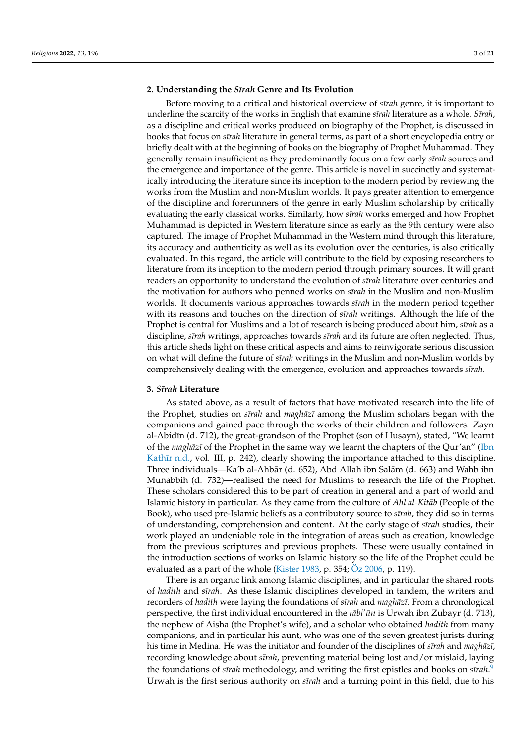#### **2. Understanding the** *S¯ırah* **Genre and Its Evolution**

Before moving to a critical and historical overview of *s¯ırah* genre, it is important to underline the scarcity of the works in English that examine *sīrah* literature as a whole. *Sīrah*, as a discipline and critical works produced on biography of the Prophet, is discussed in books that focus on *s¯ırah* literature in general terms, as part of a short encyclopedia entry or briefly dealt with at the beginning of books on the biography of Prophet Muhammad. They generally remain insufficient as they predominantly focus on a few early *s¯ırah* sources and the emergence and importance of the genre. This article is novel in succinctly and systematically introducing the literature since its inception to the modern period by reviewing the works from the Muslim and non-Muslim worlds. It pays greater attention to emergence of the discipline and forerunners of the genre in early Muslim scholarship by critically evaluating the early classical works. Similarly, how *sīrah* works emerged and how Prophet Muhammad is depicted in Western literature since as early as the 9th century were also captured. The image of Prophet Muhammad in the Western mind through this literature, its accuracy and authenticity as well as its evolution over the centuries, is also critically evaluated. In this regard, the article will contribute to the field by exposing researchers to literature from its inception to the modern period through primary sources. It will grant readers an opportunity to understand the evolution of *s¯ırah* literature over centuries and the motivation for authors who penned works on *s¯ırah* in the Muslim and non-Muslim worlds. It documents various approaches towards *sīrah* in the modern period together with its reasons and touches on the direction of *sīrah* writings. Although the life of the Prophet is central for Muslims and a lot of research is being produced about him, *sīrah* as a discipline, *s¯ırah* writings, approaches towards *s¯ırah* and its future are often neglected. Thus, this article sheds light on these critical aspects and aims to reinvigorate serious discussion on what will define the future of *s¯ırah* writings in the Muslim and non-Muslim worlds by comprehensively dealing with the emergence, evolution and approaches towards *sīrah*.

#### **3.** *S¯ırah* **Literature**

As stated above, as a result of factors that have motivated research into the life of the Prophet, studies on *sīrah* and *maghāzī* among the Muslim scholars began with the companions and gained pace through the works of their children and followers. Zayn al-Abidīn (d. 712), the great-grandson of the Prophet (son of Husayn), stated, "We learnt of the *maghāzī* of the Prophet in the same way we learnt the chapters of the Qur'an'' [\(Ibn](#page-19-13) Kathīr [n.d.,](#page-19-13) vol. III, p. 242), clearly showing the importance attached to this discipline. Three individuals—Ka'b al-Ahbār (d. 652), Abd Allah ibn Salām (d. 663) and Wahb ibn Munabbih (d. 732)—realised the need for Muslims to research the life of the Prophet. These scholars considered this to be part of creation in general and a part of world and Islamic history in particular. As they came from the culture of *Ahl al-Kitāb* (People of the Book), who used pre-Islamic beliefs as a contributory source to *sīrah*, they did so in terms of understanding, comprehension and content. At the early stage of *s¯ırah* studies, their work played an undeniable role in the integration of areas such as creation, knowledge from the previous scriptures and previous prophets. These were usually contained in the introduction sections of works on Islamic history so the life of the Prophet could be evaluated as a part of the whole [\(Kister](#page-19-12) [1983,](#page-19-12) p. 354; [Öz](#page-19-5) [2006,](#page-19-5) p. 119).

<span id="page-2-0"></span>There is an organic link among Islamic disciplines, and in particular the shared roots of *hadith* and *s¯ırah*. As these Islamic disciplines developed in tandem, the writers and recorders of *hadith* were laying the foundations of *sīrah* and *maghāzī*. From a chronological perspective, the first individual encountered in the *tābi' ūn* is Urwah ibn Zubayr (d. 713), the nephew of Aisha (the Prophet's wife), and a scholar who obtained *hadith* from many companions, and in particular his aunt, who was one of the seven greatest jurists during his time in Medina. He was the initiator and founder of the disciplines of *sīrah* and *maghāzī*, recording knowledge about *s¯ırah*, preventing material being lost and/or mislaid, laying the foundations of *sīrah* methodology, and writing the first epistles and books on *sīrah*.<sup>[9](#page-16-8)</sup> Urwah is the first serious authority on *sīrah* and a turning point in this field, due to his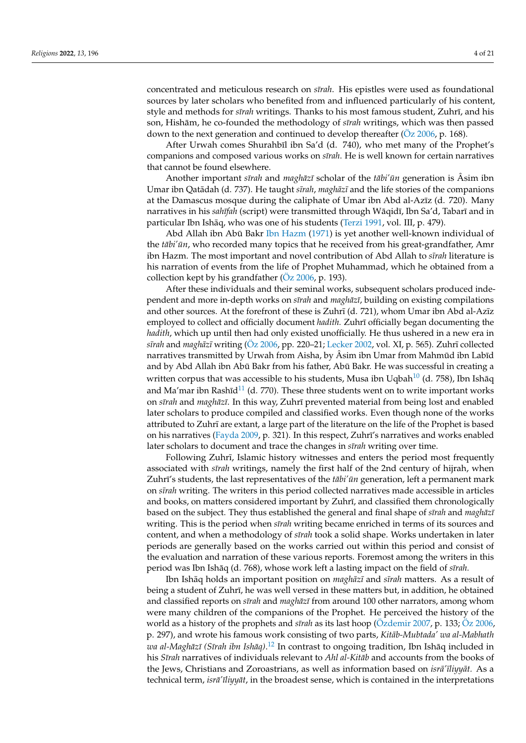concentrated and meticulous research on *sīrah*. His epistles were used as foundational sources by later scholars who benefited from and influenced particularly of his content, style and methods for *sīrah* writings. Thanks to his most famous student, Zuhrī, and his son, Hishām, he co-founded the methodology of *sīrah* writings, which was then passed down to the next generation and continued to develop thereafter [\(Öz](#page-19-5) [2006,](#page-19-5) p. 168).

After Urwah comes Shurahbīl ibn Sa'd (d. 740), who met many of the Prophet's companions and composed various works on *s¯ırah*. He is well known for certain narratives that cannot be found elsewhere.

Another important *sīrah* and *maghāzī* scholar of the *tābi'ūn* generation is Âsim ibn Umar ibn Qatādah (d. 737). He taught *sīrah*, *maghāzī* and the life stories of the companions at the Damascus mosque during the caliphate of Umar ibn Abd al-Azīz (d. 720). Many narratives in his *sahīfah* (script) were transmitted through Wāqidī, Ibn Sa'd, Tabarī and in particular Ibn Ishāq, who was one of his students ([Terzi](#page-20-1) [1991,](#page-20-1) vol. III, p. 479).

Abd Allah ibn Abū Bakr [Ibn Hazm](#page-19-14) [\(1971\)](#page-19-14) is yet another well-known individual of the *tābi'ūn*, who recorded many topics that he received from his great-grandfather, Amr ibn Hazm. The most important and novel contribution of Abd Allah to *sīrah* literature is his narration of events from the life of Prophet Muhammad, which he obtained from a collection kept by his grandfather [\(Öz](#page-19-5) [2006,](#page-19-5) p. 193).

After these individuals and their seminal works, subsequent scholars produced independent and more in-depth works on *sīrah* and *maghāzī*, building on existing compilations and other sources. At the forefront of these is Zuhr $\bar{I}$  (d. 721), whom Umar ibn Abd al-Az $\bar{I}z$ employed to collect and officially document *hadith*. Zuhrī officially began documenting the *hadith*, which up until then had only existed unofficially. He thus ushered in a new era in *sīrah* and *maghāzī* writing [\(Öz](#page-19-5) [2006,](#page-19-5) pp. 220–21; [Lecker](#page-19-15) [2002,](#page-19-15) vol. XI, p. 565). Zuhrī collected narratives transmitted by Urwah from Aisha, by Asim ibn Umar from Mahmud ibn Labīd and by Abd Allah ibn Abū Bakr from his father, Abū Bakr. He was successful in creating a written corpus that was accessible to his students, Musa ibn Uqbah<sup>[10](#page-16-9)</sup> (d. 758), Ibn Ishāq and Ma'mar ibn Rashīd $11$  (d. 770). These three students went on to write important works on *s¯ırah* and *maghaz¯ ¯ı*. In this way, Zuhr¯ı prevented material from being lost and enabled later scholars to produce compiled and classified works. Even though none of the works attributed to Zuhrī are extant, a large part of the literature on the life of the Prophet is based on his narratives [\(Fayda](#page-19-6) [2009,](#page-19-6) p. 321). In this respect, Zuhrī's narratives and works enabled later scholars to document and trace the changes in *sīrah* writing over time.

<span id="page-3-1"></span><span id="page-3-0"></span>Following Zuhrī, Islamic history witnesses and enters the period most frequently associated with *s¯ırah* writings, namely the first half of the 2nd century of hijrah, when Zuhrī's students, the last representatives of the *tābi' ūn* generation, left a permanent mark on *s¯ırah* writing. The writers in this period collected narratives made accessible in articles and books, on matters considered important by Zuhrī, and classified them chronologically based on the subject. They thus established the general and final shape of *sīrah* and *maghāzī* writing. This is the period when *strah* writing became enriched in terms of its sources and content, and when a methodology of *s¯ırah* took a solid shape. Works undertaken in later periods are generally based on the works carried out within this period and consist of the evaluation and narration of these various reports. Foremost among the writers in this period was Ibn Ishāq (d. 768), whose work left a lasting impact on the field of sīrah.

<span id="page-3-2"></span>Ibn Ishaq holds an important position on *maghazi* and *sīrah* matters. As a result of being a student of Zuhrī, he was well versed in these matters but, in addition, he obtained and classified reports on *sīrah* and *maghāzī* from around 100 other narrators, among whom were many children of the companions of the Prophet. He perceived the history of the world as a history of the prophets and *s¯ırah* as its last hoop [\(Özdemir](#page-19-16) [2007,](#page-19-16) p. 133; [Öz](#page-19-5) [2006,](#page-19-5) p. 297), and wrote his famous work consisting of two parts, *Kitab-Mubtada' wa al-Mabhath ¯ wa al-Maghāzī (Sīrah ibn Ishāq).<sup>[12](#page-16-11)</sup> I*n contrast to ongoing tradition, Ibn Ishāq included in his *Sīrah* narratives of individuals relevant to *Ahl al-Kitāb* and accounts from the books of the Jews, Christians and Zoroastrians, as well as information based on *isra'<sup>†</sup> iiiyyat*. As a technical term, *isra<sup>'</sup>īliyyāt*, in the broadest sense, which is contained in the interpretations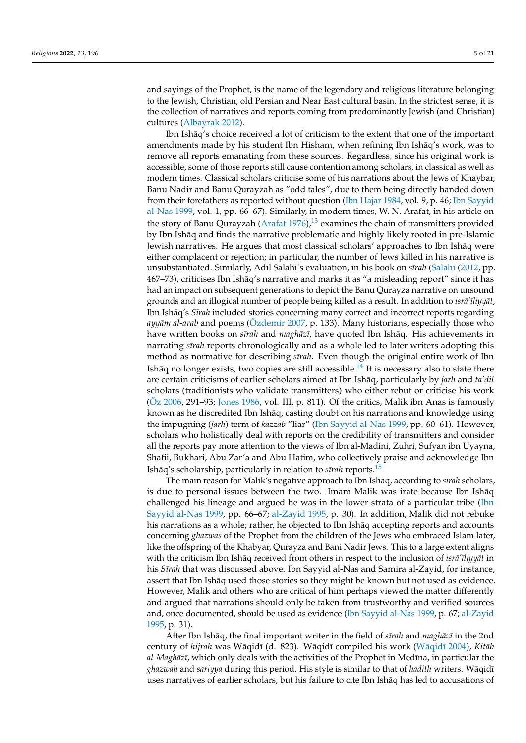and sayings of the Prophet, is the name of the legendary and religious literature belonging to the Jewish, Christian, old Persian and Near East cultural basin. In the strictest sense, it is the collection of narratives and reports coming from predominantly Jewish (and Christian) cultures [\(Albayrak](#page-18-2) [2012\)](#page-18-2).

<span id="page-4-0"></span>Ibn Ishaq's choice received a lot of criticism to the extent that one of the important ¯ amendments made by his student Ibn Hisham, when refining Ibn Ishaq's work, was to ¯ remove all reports emanating from these sources. Regardless, since his original work is accessible, some of those reports still cause contention among scholars, in classical as well as modern times. Classical scholars criticise some of his narrations about the Jews of Khaybar, Banu Nadir and Banu Qurayzah as "odd tales", due to them being directly handed down from their forefathers as reported without question [\(Ibn Hajar](#page-19-17) [1984,](#page-19-17) vol. 9, p. 46; [Ibn Sayyid](#page-19-18) [al-Nas](#page-19-18) [1999,](#page-19-18) vol. 1, pp. 66–67). Similarly, in modern times, W. N. Arafat, in his article on the story of Banu Qurayzah [\(Arafat](#page-18-3)  $1976$ ),<sup>[13](#page-16-12)</sup> examines the chain of transmitters provided by Ibn Ishaq and finds the narrative problematic and highly likely rooted in pre-Islamic ¯ Jewish narratives. He argues that most classical scholars' approaches to Ibn Ishaq were either complacent or rejection; in particular, the number of Jews killed in his narrative is unsubstantiated. Similarly, Adil Salahi's evaluation, in his book on *sīrah* [\(Salahi](#page-19-19) [\(2012,](#page-19-19) pp. 467–73), criticises Ibn Ishaq's narrative and marks it as "a misleading report" since it has ¯ had an impact on subsequent generations to depict the Banu Qurayza narrative on unsound grounds and an illogical number of people being killed as a result. In addition to *isra<sup>'</sup>iliyyat*, Ibn Ishāq's *Sīrah* included stories concerning many correct and incorrect reports regarding *ayyām al-arab* and poems [\(Özdemir](#page-19-16) [2007,](#page-19-16) p. 133). Many historians, especially those who have written books on *sīrah* and *maghāzī*, have quoted Ibn Ishāq. His achievements in narrating *s¯ırah* reports chronologically and as a whole led to later writers adopting this method as normative for describing *sīrah*. Even though the original entire work of Ibn Ishāq no longer exists, two copies are still accessible. $^{14}$  $^{14}$  $^{14}$  It is necessary also to state there are certain criticisms of earlier scholars aimed at Ibn Ishaq, particularly by *jarh* and *ta'dil* scholars (traditionists who validate transmitters) who either rebut or criticise his work [\(Öz](#page-19-5) [2006,](#page-19-5) 291–93; [Jones](#page-19-20) [1986,](#page-19-20) vol. III, p. 811). Of the critics, Malik ibn Anas is famously known as he discredited Ibn Ishaq, casting doubt on his narrations and knowledge using ¯ the impugning (*jarh*) term of *kazzab* "liar" [\(Ibn Sayyid al-Nas](#page-19-18) [1999,](#page-19-18) pp. 60–61). However, scholars who holistically deal with reports on the credibility of transmitters and consider all the reports pay more attention to the views of Ibn al-Madini, Zuhri, Sufyan ibn Uyayna, Shafii, Bukhari, Abu Zar'a and Abu Hatim, who collectively praise and acknowledge Ibn Ishāq's scholarship, particularly in relation to *sīrah* reports.<sup>[15](#page-17-0)</sup>

<span id="page-4-2"></span><span id="page-4-1"></span>The main reason for Malik's negative approach to Ibn Ishāq, according to sīrah scholars, is due to personal issues between the two. Imam Malik was irate because Ibn Ishaq¯ challenged his lineage and argued he was in the lower strata of a particular tribe [\(Ibn](#page-19-18) [Sayyid al-Nas](#page-19-18) [1999,](#page-19-18) pp. 66–67; [al-Zayid](#page-18-4) [1995,](#page-18-4) p. 30). In addition, Malik did not rebuke his narrations as a whole; rather, he objected to Ibn Ishaq accepting reports and accounts concerning *ghazwas* of the Prophet from the children of the Jews who embraced Islam later, like the offspring of the Khabyar, Qurayza and Bani Nadir Jews. This to a large extent aligns with the criticism Ibn Ishaq received from others in respect to the inclusion of *isra'iliyyat* in his *S¯ırah* that was discussed above. Ibn Sayyid al-Nas and Samira al-Zayid, for instance, assert that Ibn Ishaq used those stories so they might be known but not used as evidence. However, Malik and others who are critical of him perhaps viewed the matter differently and argued that narrations should only be taken from trustworthy and verified sources and, once documented, should be used as evidence [\(Ibn Sayyid al-Nas](#page-19-18) [1999,](#page-19-18) p. 67; [al-Zayid](#page-18-4) [1995,](#page-18-4) p. 31).

After Ibn Ishāq, the final important writer in the field of *sīrah* and *maghāzī* in the 2nd century of *hijrah* was Wāqidī (d. 823). Wāqidī compiled his work (Wāqidī [2004\)](#page-20-2), *Kitāb al-Maghāzī*, which only deals with the activities of the Prophet in Medīna, in particular the *ghazwah* and *sariyya* during this period. His style is similar to that of *hadith* writers. Wāqidī uses narratives of earlier scholars, but his failure to cite Ibn Ishaq has led to accusations of ¯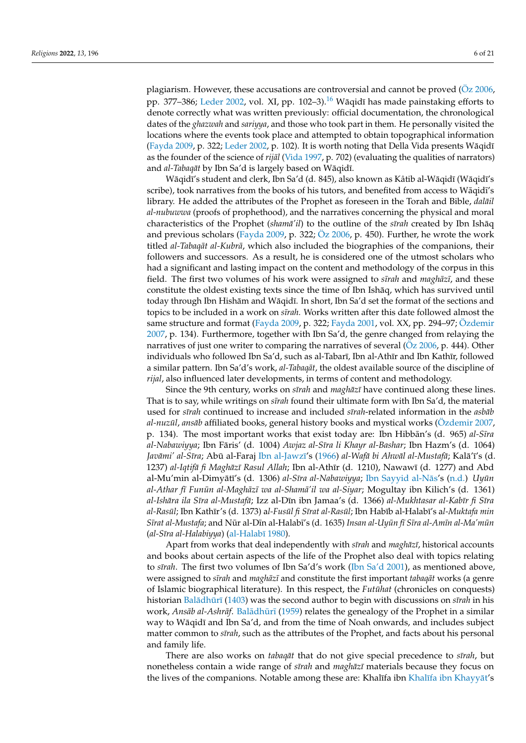<span id="page-5-0"></span>plagiarism. However, these accusations are controversial and cannot be proved  $(Oz 2006,$  $(Oz 2006,$ pp. 377–386; [Leder](#page-19-21) [2002,](#page-19-21) vol. XI, pp. 102–3).<sup>[16](#page-17-1)</sup> Wāqidī has made painstaking efforts to denote correctly what was written previously: official documentation, the chronological dates of the *ghazwah* and *sariyya*, and those who took part in them. He personally visited the locations where the events took place and attempted to obtain topographical information [\(Fayda](#page-19-6) [2009,](#page-19-6) p. 322; [Leder](#page-19-21) [2002,](#page-19-21) p. 102). It is worth noting that Della Vida presents Wāqidī as the founder of the science of *rijāl* [\(Vida](#page-20-0) [1997,](#page-20-0) p. 702) (evaluating the qualities of narrators) and *al-Tabaqāt* by Ibn Sa'd is largely based on Wāqidī.

Wāqidī's student and clerk, Ibn Sa'd (d. 845), also known as Kâtib al-Wāqidī (Wāqidī's scribe), took narratives from the books of his tutors, and benefited from access to Wāqidī's library. He added the attributes of the Prophet as foreseen in the Torah and Bible, *dalail al-nubuwwa* (proofs of prophethood), and the narratives concerning the physical and moral characteristics of the Prophet (*shama'il*) to the outline of the *strah* created by Ibn Ishaq and previous scholars [\(Fayda](#page-19-6) [2009,](#page-19-6) p. 322;  $\ddot{O}z$  [2006,](#page-19-5) p. 450). Further, he wrote the work titled *al-Tabaqāt al-Kubrā*, which also included the biographies of the companions, their followers and successors. As a result, he is considered one of the utmost scholars who had a significant and lasting impact on the content and methodology of the corpus in this field. The first two volumes of his work were assigned to *sīrah* and *maghāzī*, and these constitute the oldest existing texts since the time of Ibn Ishaq, which has survived until ¯ today through Ibn Hishām and Wāqidī. In short, Ibn Sa'd set the format of the sections and topics to be included in a work on *sīrah*. Works written after this date followed almost the same structure and format [\(Fayda](#page-19-6) [2009,](#page-19-6) p. 322; [Fayda](#page-18-5) [2001,](#page-18-5) vol. XX, pp. 294–97; [Özdemir](#page-19-16) [2007,](#page-19-16) p. 134). Furthermore, together with Ibn Sa'd, the genre changed from relaying the narratives of just one writer to comparing the narratives of several ( $Oz$  [2006,](#page-19-5) p. 444). Other individuals who followed Ibn Sa'd, such as al-Tabarī, Ibn al-Athīr and Ibn Kathīr, followed a similar pattern. Ibn Sa'd's work, al-Tabaqat, the oldest available source of the discipline of *rijal*, also influenced later developments, in terms of content and methodology.

Since the 9th century, works on *sīrah* and *maghāzī* have continued along these lines. That is to say, while writings on *sīrah* found their ultimate form with Ibn Sa'd, the material used for *sīrah* continued to increase and included *sīrah*-related information in the *asbab al-nuzūl*, *ansāb* affiliated books, general history books and mystical works [\(Özdemir](#page-19-16) [2007,](#page-19-16) p. 134). The most important works that exist today are: Ibn Hibbān's (d. 965) *al-Sīra* al-Nabawiyya; Ibn Fāris' (d. 1004) Awjaz al-Sīra li Khayr al-Bashar; Ibn Hazm's (d. 1064) *Javāmi' al-Sīra*; Abū al-Faraj Ībn al-Jawzī's [\(1966\)](#page-19-22) *al-Wafā bi Ahwāl al-Mustafā; K*alā'ī's (d. 1237) al-Iqtifā fi Maghāzī Rasul Allah; Ibn al-Athīr (d. 1210), Nawawī (d. 1277) and Abd al-Mu'min al-Dimyātī's (d. 1306) *al-Sīra al-Nabawiyya*; Ibn Sayyid al-Nās's [\(n.d.\)](#page-19-23) *Uyūn al-Athar f¯ı Funun al-Magh ¯ az¯ ¯ı wa al-Shama'il wa al-Siyar ¯* ; Mogultay ibn Kilich's (d. 1361) *al-Ishara ila S ¯ ¯ıra al-Mustafa¯*; Izz al-D¯ın ibn Jamaa's (d. 1366) *al-Mukhtasar al-Kab¯ır fi S¯ıra al-Rasul¯* ; Ibn Kath¯ır's (d. 1373) a*l-Fusul fi S ¯ ¯ırat al-Rasul¯* ; Ibn Hab¯ıb al-Halab¯ı's a*l-Muktafa min S¯ırat al-Mustafa*; and Nur al-D ¯ ¯ın al-Halab¯ı's (d. 1635) *Insan al-Uyun f ¯ ¯ı S¯ıra al-Am¯ın al-Ma'mun¯* (*al-S¯ıra al-Halabiyya*) [\(al-Halab¯ı](#page-18-6) [1980\)](#page-18-6).

Apart from works that deal independently with *sīrah* and *maghāzī*, historical accounts and books about certain aspects of the life of the Prophet also deal with topics relating to *s¯ırah*. The first two volumes of Ibn Sa'd's work [\(Ibn Sa'd](#page-19-24) [2001\)](#page-19-24), as mentioned above, were assigned to *sīrah* and *maghāzī* and constitute the first important *tabaqāt* works (a genre of Islamic biographical literature). In this respect, the *Futuhat* (chronicles on conquests) historian Balādhūrī [\(1403\)](#page-18-7) was the second author to begin with discussions on *sīrah* in his work, *Ansāb al-Ashrāf*. Balādhūrī [\(1959\)](#page-18-8) relates the genealogy of the Prophet in a similar way to Wāqidī and Ibn Sa'd, and from the time of Noah onwards, and includes subject matter common to *sīrah*, such as the attributes of the Prophet, and facts about his personal and family life.

There are also works on *tabaqāt* that do not give special precedence to *sīrah*, but nonetheless contain a wide range of *sīrah* and *maghāzī* materials because they focus on the lives of the companions. Notable among these are: Khalīfa ibn Khalīfa ibn Khayyāt's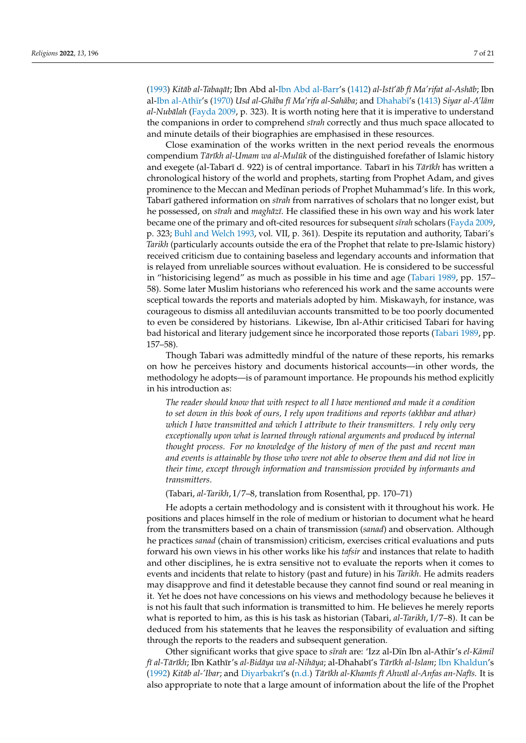[\(1993\)](#page-19-25) *Kitāb al-Tabaqāt*; Ibn Abd al[-Ibn Abd al-Barr'](#page-19-26)s [\(1412\)](#page-19-26) al-Istī'āb fī Ma'rifat al-Ashāb; Ibn al-Ibn al-Athīr's [\(1970\)](#page-19-27) *Usd al-Ghāba fī Ma'rifa al-Sahāba*; and Dhahabī's [\(1413\)](#page-18-9) *Siyar al-A'lām al-Nubālah* [\(Fayda](#page-19-6) [2009,](#page-19-6) p. 323). It is worth noting here that it is imperative to understand the companions in order to comprehend *sīrah* correctly and thus much space allocated to and minute details of their biographies are emphasised in these resources.

Close examination of the works written in the next period reveals the enormous compendium *Tārīkh al-Umam wa al-Mulūk* of the distinguished forefather of Islamic history and exegete (al-Tabarī d. 922) is of central importance. Tabarī in his *Tārīkh* has written a chronological history of the world and prophets, starting from Prophet Adam, and gives prominence to the Meccan and Medīnan periods of Prophet Muhammad's life. In this work, Tabarī gathered information on *sīrah* from narratives of scholars that no longer exist, but he possessed, on *sīrah* and *maghāzī*. He classified these in his own way and his work later became one of the primary and oft-cited resources for subsequent *s¯ırah* scholars [\(Fayda](#page-19-6) [2009,](#page-19-6) p. 323; [Buhl and Welch](#page-18-10) [1993,](#page-18-10) vol. VII, p. 361). Despite its reputation and authority, Tabari's *Tarikh* (particularly accounts outside the era of the Prophet that relate to pre-Islamic history) received criticism due to containing baseless and legendary accounts and information that is relayed from unreliable sources without evaluation. He is considered to be successful in "historicising legend" as much as possible in his time and age [\(Tabari](#page-20-3) [1989,](#page-20-3) pp. 157– 58). Some later Muslim historians who referenced his work and the same accounts were sceptical towards the reports and materials adopted by him. Miskawayh, for instance, was courageous to dismiss all antediluvian accounts transmitted to be too poorly documented to even be considered by historians. Likewise, Ibn al-Athir criticised Tabari for having bad historical and literary judgement since he incorporated those reports [\(Tabari](#page-20-3) [1989,](#page-20-3) pp. 157–58).

Though Tabari was admittedly mindful of the nature of these reports, his remarks on how he perceives history and documents historical accounts—in other words, the methodology he adopts—is of paramount importance. He propounds his method explicitly in his introduction as:

*The reader should know that with respect to all I have mentioned and made it a condition to set down in this book of ours, I rely upon traditions and reports (akhbar and athar) which I have transmitted and which I attribute to their transmitters. I rely only very exceptionally upon what is learned through rational arguments and produced by internal thought process. For no knowledge of the history of men of the past and recent man and events is attainable by those who were not able to observe them and did not live in their time, except through information and transmission provided by informants and transmitters*.

(Tabari, *al-Tarikh*, I/7–8, translation from Rosenthal, pp. 170–71)

He adopts a certain methodology and is consistent with it throughout his work. He positions and places himself in the role of medium or historian to document what he heard from the transmitters based on a chain of transmission (*sanad*) and observation. Although he practices *sanad* (chain of transmission) criticism, exercises critical evaluations and puts forward his own views in his other works like his *tafsir* and instances that relate to hadith and other disciplines, he is extra sensitive not to evaluate the reports when it comes to events and incidents that relate to history (past and future) in his *Tarikh*. He admits readers may disapprove and find it detestable because they cannot find sound or real meaning in it. Yet he does not have concessions on his views and methodology because he believes it is not his fault that such information is transmitted to him. He believes he merely reports what is reported to him, as this is his task as historian (Tabari, *al-Tarikh*, I/7–8). It can be deduced from his statements that he leaves the responsibility of evaluation and sifting through the reports to the readers and subsequent generation.

Other significant works that give space to *sīrah* are: 'Izz al-Dīn Ibn al-Athīr's *el-Kāmil f¯ı al-Tar¯ ¯ıkh*; Ibn Kath¯ır's *al-Bidaya wa al-Nih ¯ aya ¯* ; al-Dhahab¯ı's *Tar¯ ¯ıkh al-Islam*; [Ibn Khaldun'](#page-19-28)s [\(1992\)](#page-19-28) *Kitāb al-'Ibar*; and Diyarbakrī's [\(n.d.\)](#page-18-11) *Tārīkh al-Khamīs fī Ahwāl al-Anfas an-Nafīs*. It is also appropriate to note that a large amount of information about the life of the Prophet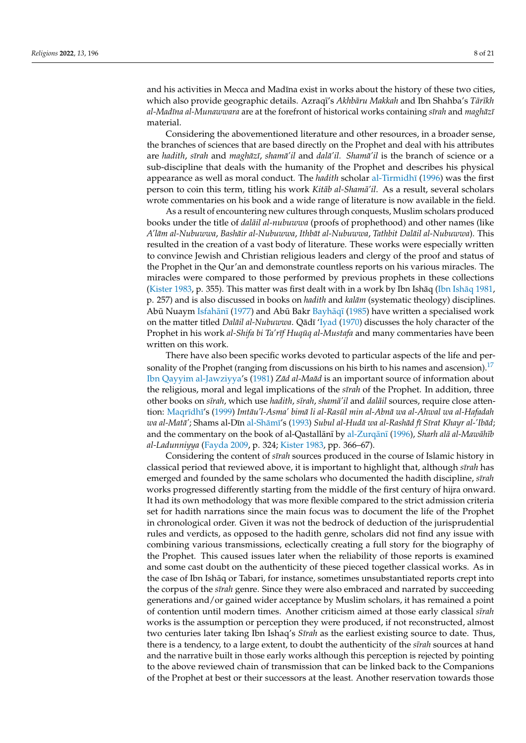and his activities in Mecca and Madīna exist in works about the history of these two cities, which also provide geographic details. Azraqī's *Akhbāru Makkah* and Ibn Shahba's Tārīkh *al-Mad¯ına al-Munawwara* are at the forefront of historical works containing *s¯ırah* and *maghaz¯ ¯ı* material.

Considering the abovementioned literature and other resources, in a broader sense, the branches of sciences that are based directly on the Prophet and deal with his attributes are *hadith*, *s¯ırah* and *maghaz¯ ¯ı*, *shama'il ¯* and *dala'il. Sham ¯ a'il ¯* is the branch of science or a sub-discipline that deals with the humanity of the Prophet and describes his physical appearance as well as moral conduct. The *hadith* scholar al-Tirmidhī [\(1996\)](#page-18-12) was the first person to coin this term, titling his work *Kitāb al-Shamā'il*. As a result, several scholars wrote commentaries on his book and a wide range of literature is now available in the field.

As a result of encountering new cultures through conquests, Muslim scholars produced books under the title of *dalail al-nubuwwa* (proofs of prophethood) and other names (like *A'lam al-Nubuwwa ¯* , *Bashair al-Nubuwwa ¯* , *Ithbat al-Nubuwwa ¯* , *Tathbit Dalail al-Nubuwwa ¯* ). This resulted in the creation of a vast body of literature. These works were especially written to convince Jewish and Christian religious leaders and clergy of the proof and status of the Prophet in the Qur'an and demonstrate countless reports on his various miracles. The miracles were compared to those performed by previous prophets in these collections [\(Kister](#page-19-12) [1983,](#page-19-12) p. 355). This matter was first dealt with in a work by Ibn Ishāq (Ibn Ishāq [1981,](#page-19-7) p. 257) and is also discussed in books on *hadith* and *kalām* (systematic theology) disciplines. Abū Nuaym Isfahānī [\(1977\)](#page-19-29) and Abū Bakr Bayhāqī [\(1985\)](#page-18-13) have written a specialised work on the matter titled *Dalāil al-Nubuwwa*. Qādī ['Iyad](#page-19-30) [\(1970\)](#page-19-30) discusses the holy character of the Prophet in his work *al-Shifa bi Ta'rīf Huqūq al-Mustafa* and many commentaries have been written on this work.

<span id="page-7-0"></span>There have also been specific works devoted to particular aspects of the life and per-sonality of the Prophet (ranging from discussions on his birth to his names and ascension).<sup>[17](#page-17-2)</sup> [Ibn Qayyim al-Jawziyya'](#page-19-31)s [\(1981\)](#page-19-31) *Zād al-Maād* is an important source of information about the religious, moral and legal implications of the *s¯ırah* of the Prophet. In addition, three other books on *sīrah*, which use *hadith*, *sīrah*, *shamā'il* and *dalāil* sources, require close atten-tion: Maqrīdhī's [\(1999\)](#page-19-32) *Imtāu'l-Asma' bimā li al-Rasūl min al-Abnā wa al-Ahwal wa al-Hafadah wa al-Matā'*; Shams al-Dīn al-Shāmī's [\(1993\)](#page-18-14) *Subul al-Hudā wa al-Rashād fī Sīrat Khayr al-'Ibād*; and the commentary on the book of al-Qastallānī by al-Zurqānī [\(1996\)](#page-18-15), *Sharh alā al-Mawāhīb al-Ladunniyya* [\(Fayda](#page-19-6) [2009,](#page-19-6) p. 324; [Kister](#page-19-12) [1983,](#page-19-12) pp. 366–67).

Considering the content of *s¯ırah* sources produced in the course of Islamic history in classical period that reviewed above, it is important to highlight that, although *s¯ırah* has emerged and founded by the same scholars who documented the hadith discipline, *sīrah* works progressed differently starting from the middle of the first century of hijra onward. It had its own methodology that was more flexible compared to the strict admission criteria set for hadith narrations since the main focus was to document the life of the Prophet in chronological order. Given it was not the bedrock of deduction of the jurisprudential rules and verdicts, as opposed to the hadith genre, scholars did not find any issue with combining various transmissions, eclectically creating a full story for the biography of the Prophet. This caused issues later when the reliability of those reports is examined and some cast doubt on the authenticity of these pieced together classical works. As in the case of Ibn Ishaq or Tabari, for instance, sometimes unsubstantiated reports crept into ¯ the corpus of the *s¯ırah* genre. Since they were also embraced and narrated by succeeding generations and/or gained wider acceptance by Muslim scholars, it has remained a point of contention until modern times. Another criticism aimed at those early classical *sīrah* works is the assumption or perception they were produced, if not reconstructed, almost two centuries later taking Ibn Ishaq's *Sīrah* as the earliest existing source to date. Thus, there is a tendency, to a large extent, to doubt the authenticity of the *s¯ırah* sources at hand and the narrative built in those early works although this perception is rejected by pointing to the above reviewed chain of transmission that can be linked back to the Companions of the Prophet at best or their successors at the least. Another reservation towards those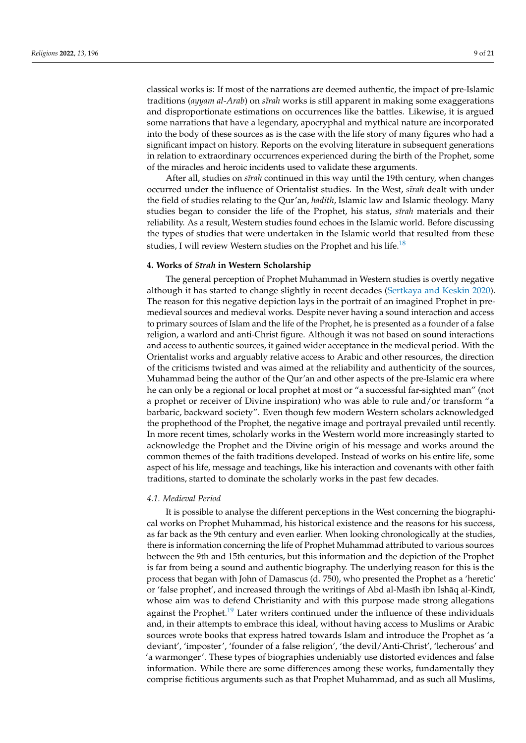classical works is: If most of the narrations are deemed authentic, the impact of pre-Islamic traditions (*ayyam al-Arab*) on *sīrah* works is still apparent in making some exaggerations and disproportionate estimations on occurrences like the battles. Likewise, it is argued some narrations that have a legendary, apocryphal and mythical nature are incorporated into the body of these sources as is the case with the life story of many figures who had a significant impact on history. Reports on the evolving literature in subsequent generations in relation to extraordinary occurrences experienced during the birth of the Prophet, some of the miracles and heroic incidents used to validate these arguments.

After all, studies on *sīrah* continued in this way until the 19th century, when changes occurred under the influence of Orientalist studies. In the West, *sīrah* dealt with under the field of studies relating to the Qur'an, *hadith*, Islamic law and Islamic theology. Many studies began to consider the life of the Prophet, his status, *sīrah* materials and their reliability. As a result, Western studies found echoes in the Islamic world. Before discussing the types of studies that were undertaken in the Islamic world that resulted from these studies, I will review Western studies on the Prophet and his life.<sup>[18](#page-17-3)</sup>

#### <span id="page-8-0"></span>**4. Works of** *S¯ırah* **in Western Scholarship**

The general perception of Prophet Muhammad in Western studies is overtly negative although it has started to change slightly in recent decades [\(Sertkaya and Keskin](#page-20-4) [2020\)](#page-20-4). The reason for this negative depiction lays in the portrait of an imagined Prophet in premedieval sources and medieval works. Despite never having a sound interaction and access to primary sources of Islam and the life of the Prophet, he is presented as a founder of a false religion, a warlord and anti-Christ figure. Although it was not based on sound interactions and access to authentic sources, it gained wider acceptance in the medieval period. With the Orientalist works and arguably relative access to Arabic and other resources, the direction of the criticisms twisted and was aimed at the reliability and authenticity of the sources, Muhammad being the author of the Qur'an and other aspects of the pre-Islamic era where he can only be a regional or local prophet at most or "a successful far-sighted man" (not a prophet or receiver of Divine inspiration) who was able to rule and/or transform "a barbaric, backward society". Even though few modern Western scholars acknowledged the prophethood of the Prophet, the negative image and portrayal prevailed until recently. In more recent times, scholarly works in the Western world more increasingly started to acknowledge the Prophet and the Divine origin of his message and works around the common themes of the faith traditions developed. Instead of works on his entire life, some aspect of his life, message and teachings, like his interaction and covenants with other faith traditions, started to dominate the scholarly works in the past few decades.

#### *4.1. Medieval Period*

<span id="page-8-1"></span>It is possible to analyse the different perceptions in the West concerning the biographical works on Prophet Muhammad, his historical existence and the reasons for his success, as far back as the 9th century and even earlier. When looking chronologically at the studies, there is information concerning the life of Prophet Muhammad attributed to various sources between the 9th and 15th centuries, but this information and the depiction of the Prophet is far from being a sound and authentic biography. The underlying reason for this is the process that began with John of Damascus (d. 750), who presented the Prophet as a 'heretic' or 'false prophet', and increased through the writings of Abd al-Masīh ibn Ishāq al-Kindī, whose aim was to defend Christianity and with this purpose made strong allegations against the Prophet.<sup>[19](#page-17-4)</sup> Later writers continued under the influence of these individuals and, in their attempts to embrace this ideal, without having access to Muslims or Arabic sources wrote books that express hatred towards Islam and introduce the Prophet as 'a deviant', 'imposter', 'founder of a false religion', 'the devil/Anti-Christ', 'lecherous' and 'a warmonger'. These types of biographies undeniably use distorted evidences and false information. While there are some differences among these works, fundamentally they comprise fictitious arguments such as that Prophet Muhammad, and as such all Muslims,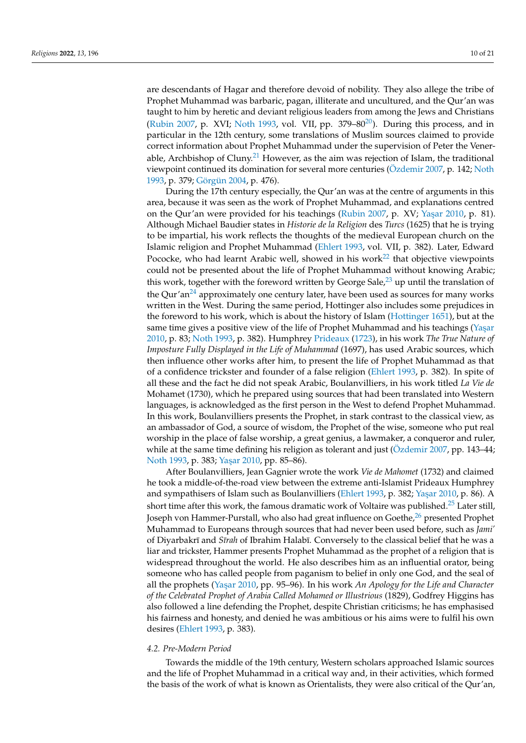<span id="page-9-0"></span>are descendants of Hagar and therefore devoid of nobility. They also allege the tribe of Prophet Muhammad was barbaric, pagan, illiterate and uncultured, and the Qur'an was taught to him by heretic and deviant religious leaders from among the Jews and Christians [\(Rubin](#page-19-10) [2007,](#page-19-10) p. XVI; [Noth](#page-19-33) [1993,](#page-19-33) vol. VII, pp.  $379-80^{20}$  $379-80^{20}$  $379-80^{20}$ ). During this process, and in particular in the 12th century, some translations of Muslim sources claimed to provide correct information about Prophet Muhammad under the supervision of Peter the Vener-able, Archbishop of Cluny.<sup>[21](#page-17-6)</sup> However, as the aim was rejection of Islam, the traditional viewpoint continued its domination for several more centuries [\(Özdemir](#page-19-16) [2007,](#page-19-16) p. 142; [Noth](#page-19-33) [1993,](#page-19-33) p. 379; [Görgün](#page-19-34) [2004,](#page-19-34) p. 476).

<span id="page-9-4"></span><span id="page-9-3"></span><span id="page-9-2"></span><span id="page-9-1"></span>During the 17th century especially, the Qur'an was at the centre of arguments in this area, because it was seen as the work of Prophet Muhammad, and explanations centred on the Qur'an were provided for his teachings [\(Rubin](#page-19-10) [2007,](#page-19-10) p. XV; Yaşar [2010,](#page-20-5) p. 81). Although Michael Baudier states in *Historie de la Religion* des *Turcs* (1625) that he is trying to be impartial, his work reflects the thoughts of the medieval European church on the Islamic religion and Prophet Muhammad [\(Ehlert](#page-18-16) [1993,](#page-18-16) vol. VII, p. 382). Later, Edward Pococke, who had learnt Arabic well, showed in his work<sup>[22](#page-17-7)</sup> that objective viewpoints could not be presented about the life of Prophet Muhammad without knowing Arabic; this work, together with the foreword written by George Sale, $^{23}$  $^{23}$  $^{23}$  up until the translation of the Qur'an<sup>[24](#page-17-9)</sup> approximately one century later, have been used as sources for many works written in the West. During the same period, Hottinger also includes some prejudices in the foreword to his work, which is about the history of Islam [\(Hottinger](#page-19-35) [1651\)](#page-19-35), but at the same time gives a positive view of the life of Prophet Muhammad and his teachings (Yaşar [2010,](#page-20-5) p. 83; [Noth](#page-19-33) [1993,](#page-19-33) p. 382). Humphrey [Prideaux](#page-19-36) [\(1723\)](#page-19-36), in his work *The True Nature of Imposture Fully Displayed in the Life of Muhammad* (1697), has used Arabic sources, which then influence other works after him, to present the life of Prophet Muhammad as that of a confidence trickster and founder of a false religion [\(Ehlert](#page-18-16) [1993,](#page-18-16) p. 382). In spite of all these and the fact he did not speak Arabic, Boulanvilliers, in his work titled *La Vie de* Mohamet (1730), which he prepared using sources that had been translated into Western languages, is acknowledged as the first person in the West to defend Prophet Muhammad. In this work, Boulanvilliers presents the Prophet, in stark contrast to the classical view, as an ambassador of God, a source of wisdom, the Prophet of the wise, someone who put real worship in the place of false worship, a great genius, a lawmaker, a conqueror and ruler, while at the same time defining his religion as tolerant and just (Ozdemir [2007,](#page-19-16) pp. 143–44; [Noth](#page-19-33) [1993,](#page-19-33) p. 383; Yaşar [2010,](#page-20-5) pp. 85-86).

<span id="page-9-6"></span><span id="page-9-5"></span>After Boulanvilliers, Jean Gagnier wrote the work *Vie de Mahomet* (1732) and claimed he took a middle-of-the-road view between the extreme anti-Islamist Prideaux Humphrey and sympathisers of Islam such as Boulanvilliers [\(Ehlert](#page-18-16) [1993,](#page-18-16) p. 382; Yaşar [2010,](#page-20-5) p. 86). A short time after this work, the famous dramatic work of Voltaire was published.<sup>[25](#page-17-10)</sup> Later still, Joseph von Hammer-Purstall, who also had great influence on Goethe, $^{26}$  $^{26}$  $^{26}$  presented Prophet Muhammad to Europeans through sources that had never been used before, such as *Jami'* of Diyarbakrī and *Sīrah* of Ibrahim Halabī. Conversely to the classical belief that he was a liar and trickster, Hammer presents Prophet Muhammad as the prophet of a religion that is widespread throughout the world. He also describes him as an influential orator, being someone who has called people from paganism to belief in only one God, and the seal of all the prophets (Yaşar [2010,](#page-20-5) pp. 95–96). In his work *An Apology for the Life and Character of the Celebrated Prophet of Arabia Called Mohamed or Illustrious* (1829), Godfrey Higgins has also followed a line defending the Prophet, despite Christian criticisms; he has emphasised his fairness and honesty, and denied he was ambitious or his aims were to fulfil his own desires [\(Ehlert](#page-18-16) [1993,](#page-18-16) p. 383).

#### *4.2. Pre-Modern Period*

Towards the middle of the 19th century, Western scholars approached Islamic sources and the life of Prophet Muhammad in a critical way and, in their activities, which formed the basis of the work of what is known as Orientalists, they were also critical of the Qur'an,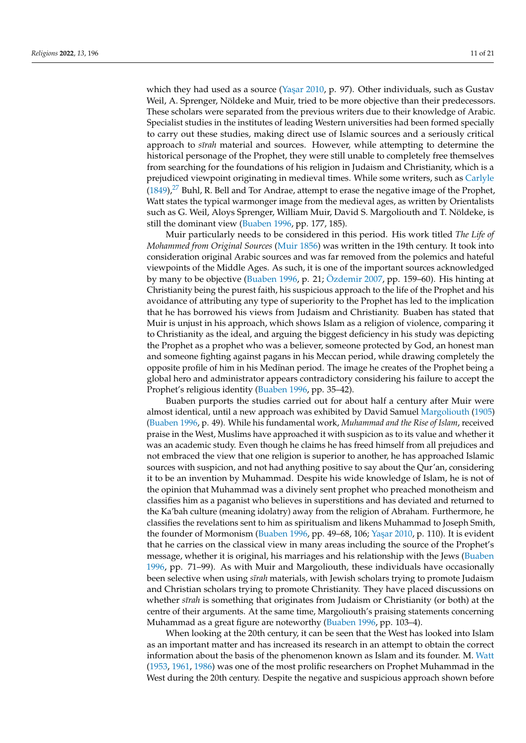which they had used as a source (Yaşar [2010,](#page-20-5) p. 97). Other individuals, such as Gustav Weil, A. Sprenger, Nöldeke and Muir, tried to be more objective than their predecessors. These scholars were separated from the previous writers due to their knowledge of Arabic. Specialist studies in the institutes of leading Western universities had been formed specially to carry out these studies, making direct use of Islamic sources and a seriously critical approach to *s¯ırah* material and sources. However, while attempting to determine the historical personage of the Prophet, they were still unable to completely free themselves from searching for the foundations of his religion in Judaism and Christianity, which is a prejudiced viewpoint originating in medieval times. While some writers, such as [Carlyle](#page-18-17)  $(1849)<sup>27</sup>$  $(1849)<sup>27</sup>$  $(1849)<sup>27</sup>$  $(1849)<sup>27</sup>$  Buhl, R. Bell and Tor Andrae, attempt to erase the negative image of the Prophet, Watt states the typical warmonger image from the medieval ages, as written by Orientalists such as G. Weil, Aloys Sprenger, William Muir, David S. Margoliouth and T. Nöldeke, is still the dominant view [\(Buaben](#page-18-18) [1996,](#page-18-18) pp. 177, 185).

<span id="page-10-0"></span>Muir particularly needs to be considered in this period. His work titled *The Life of Mohammed from Original Sources* [\(Muir](#page-19-37) [1856\)](#page-19-37) was written in the 19th century. It took into consideration original Arabic sources and was far removed from the polemics and hateful viewpoints of the Middle Ages. As such, it is one of the important sources acknowledged by many to be objective [\(Buaben](#page-18-18) [1996,](#page-18-18) p. 21; [Özdemir](#page-19-16) [2007,](#page-19-16) pp. 159–60). His hinting at Christianity being the purest faith, his suspicious approach to the life of the Prophet and his avoidance of attributing any type of superiority to the Prophet has led to the implication that he has borrowed his views from Judaism and Christianity. Buaben has stated that Muir is unjust in his approach, which shows Islam as a religion of violence, comparing it to Christianity as the ideal, and arguing the biggest deficiency in his study was depicting the Prophet as a prophet who was a believer, someone protected by God, an honest man and someone fighting against pagans in his Meccan period, while drawing completely the opposite profile of him in his Medīnan period. The image he creates of the Prophet being a global hero and administrator appears contradictory considering his failure to accept the Prophet's religious identity [\(Buaben](#page-18-18) [1996,](#page-18-18) pp. 35–42).

Buaben purports the studies carried out for about half a century after Muir were almost identical, until a new approach was exhibited by David Samuel [Margoliouth](#page-19-38) [\(1905\)](#page-19-38) [\(Buaben](#page-18-18) [1996,](#page-18-18) p. 49). While his fundamental work, *Muhammad and the Rise of Islam*, received praise in the West, Muslims have approached it with suspicion as to its value and whether it was an academic study. Even though he claims he has freed himself from all prejudices and not embraced the view that one religion is superior to another, he has approached Islamic sources with suspicion, and not had anything positive to say about the Qur'an, considering it to be an invention by Muhammad. Despite his wide knowledge of Islam, he is not of the opinion that Muhammad was a divinely sent prophet who preached monotheism and classifies him as a paganist who believes in superstitions and has deviated and returned to the Ka'bah culture (meaning idolatry) away from the religion of Abraham. Furthermore, he classifies the revelations sent to him as spiritualism and likens Muhammad to Joseph Smith, the founder of Mormonism [\(Buaben](#page-18-18) [1996,](#page-18-18) pp. 49–68, 106; Yaşar [2010,](#page-20-5) p. 110). It is evident that he carries on the classical view in many areas including the source of the Prophet's message, whether it is original, his marriages and his relationship with the Jews [\(Buaben](#page-18-18) [1996,](#page-18-18) pp. 71–99). As with Muir and Margoliouth, these individuals have occasionally been selective when using *sīrah* materials, with Jewish scholars trying to promote Judaism and Christian scholars trying to promote Christianity. They have placed discussions on whether *s¯ırah* is something that originates from Judaism or Christianity (or both) at the centre of their arguments. At the same time, Margoliouth's praising statements concerning Muhammad as a great figure are noteworthy [\(Buaben](#page-18-18) [1996,](#page-18-18) pp. 103–4).

When looking at the 20th century, it can be seen that the West has looked into Islam as an important matter and has increased its research in an attempt to obtain the correct information about the basis of the phenomenon known as Islam and its founder. M. [Watt](#page-20-6) [\(1953,](#page-20-6) [1961,](#page-20-7) [1986\)](#page-20-8) was one of the most prolific researchers on Prophet Muhammad in the West during the 20th century. Despite the negative and suspicious approach shown before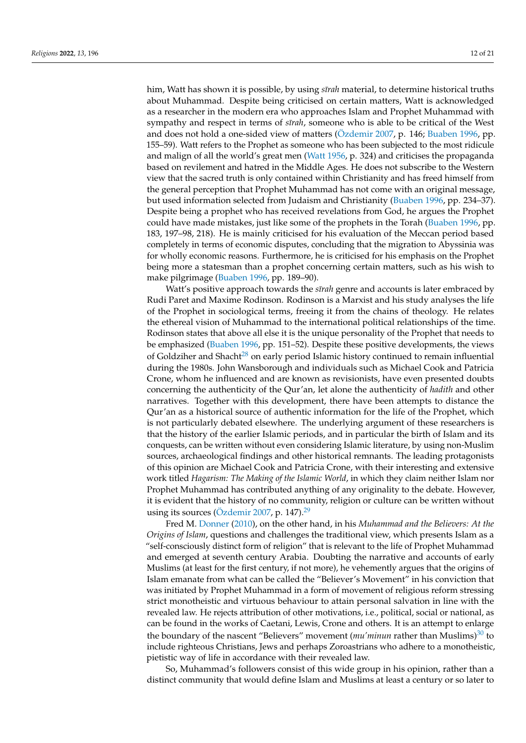him, Watt has shown it is possible, by using *sīrah* material, to determine historical truths about Muhammad. Despite being criticised on certain matters, Watt is acknowledged as a researcher in the modern era who approaches Islam and Prophet Muhammad with sympathy and respect in terms of *sīrah*, someone who is able to be critical of the West and does not hold a one-sided view of matters [\(Özdemir](#page-19-16) [2007,](#page-19-16) p. 146; [Buaben](#page-18-18) [1996,](#page-18-18) pp. 155–59). Watt refers to the Prophet as someone who has been subjected to the most ridicule and malign of all the world's great men [\(Watt](#page-20-9) [1956,](#page-20-9) p. 324) and criticises the propaganda based on revilement and hatred in the Middle Ages. He does not subscribe to the Western view that the sacred truth is only contained within Christianity and has freed himself from the general perception that Prophet Muhammad has not come with an original message, but used information selected from Judaism and Christianity [\(Buaben](#page-18-18) [1996,](#page-18-18) pp. 234–37). Despite being a prophet who has received revelations from God, he argues the Prophet could have made mistakes, just like some of the prophets in the Torah [\(Buaben](#page-18-18) [1996,](#page-18-18) pp. 183, 197–98, 218). He is mainly criticised for his evaluation of the Meccan period based completely in terms of economic disputes, concluding that the migration to Abyssinia was for wholly economic reasons. Furthermore, he is criticised for his emphasis on the Prophet being more a statesman than a prophet concerning certain matters, such as his wish to make pilgrimage [\(Buaben](#page-18-18) [1996,](#page-18-18) pp. 189–90).

<span id="page-11-0"></span>Watt's positive approach towards the *sīrah* genre and accounts is later embraced by Rudi Paret and Maxime Rodinson. Rodinson is a Marxist and his study analyses the life of the Prophet in sociological terms, freeing it from the chains of theology. He relates the ethereal vision of Muhammad to the international political relationships of the time. Rodinson states that above all else it is the unique personality of the Prophet that needs to be emphasized [\(Buaben](#page-18-18) [1996,](#page-18-18) pp. 151–52). Despite these positive developments, the views of Goldziher and Shacht<sup>[28](#page-17-13)</sup> on early period Islamic history continued to remain influential during the 1980s. John Wansborough and individuals such as Michael Cook and Patricia Crone, whom he influenced and are known as revisionists, have even presented doubts concerning the authenticity of the Qur'an, let alone the authenticity of *hadith* and other narratives. Together with this development, there have been attempts to distance the Qur'an as a historical source of authentic information for the life of the Prophet, which is not particularly debated elsewhere. The underlying argument of these researchers is that the history of the earlier Islamic periods, and in particular the birth of Islam and its conquests, can be written without even considering Islamic literature, by using non-Muslim sources, archaeological findings and other historical remnants. The leading protagonists of this opinion are Michael Cook and Patricia Crone, with their interesting and extensive work titled *Hagarism: The Making of the Islamic World*, in which they claim neither Islam nor Prophet Muhammad has contributed anything of any originality to the debate. However, it is evident that the history of no community, religion or culture can be written without using its sources ( $\ddot{\text{O}}$ zdemir [2007,](#page-19-16) p. 147).<sup>[29](#page-17-14)</sup>

<span id="page-11-1"></span>Fred M. [Donner](#page-18-19) [\(2010\)](#page-18-19), on the other hand, in his *Muhammad and the Believers: At the Origins of Islam*, questions and challenges the traditional view, which presents Islam as a "self-consciously distinct form of religion" that is relevant to the life of Prophet Muhammad and emerged at seventh century Arabia. Doubting the narrative and accounts of early Muslims (at least for the first century, if not more), he vehemently argues that the origins of Islam emanate from what can be called the "Believer's Movement" in his conviction that was initiated by Prophet Muhammad in a form of movement of religious reform stressing strict monotheistic and virtuous behaviour to attain personal salvation in line with the revealed law. He rejects attribution of other motivations, i.e., political, social or national, as can be found in the works of Caetani, Lewis, Crone and others. It is an attempt to enlarge the boundary of the nascent "Believers" movement (*mu'minun* rather than Muslims)<sup>[30](#page-17-15)</sup> to include righteous Christians, Jews and perhaps Zoroastrians who adhere to a monotheistic, pietistic way of life in accordance with their revealed law.

<span id="page-11-2"></span>So, Muhammad's followers consist of this wide group in his opinion, rather than a distinct community that would define Islam and Muslims at least a century or so later to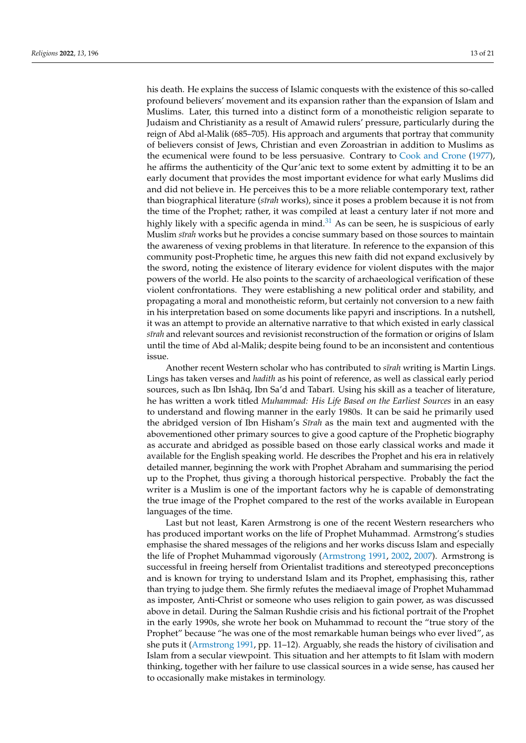<span id="page-12-0"></span>his death. He explains the success of Islamic conquests with the existence of this so-called profound believers' movement and its expansion rather than the expansion of Islam and Muslims. Later, this turned into a distinct form of a monotheistic religion separate to Judaism and Christianity as a result of Amawid rulers' pressure, particularly during the reign of Abd al-Malik (685–705). His approach and arguments that portray that community of believers consist of Jews, Christian and even Zoroastrian in addition to Muslims as the ecumenical were found to be less persuasive. Contrary to [Cook and Crone](#page-18-20) [\(1977\)](#page-18-20), he affirms the authenticity of the Qur'anic text to some extent by admitting it to be an early document that provides the most important evidence for what early Muslims did and did not believe in. He perceives this to be a more reliable contemporary text, rather than biographical literature (*sīrah* works), since it poses a problem because it is not from the time of the Prophet; rather, it was compiled at least a century later if not more and highly likely with a specific agenda in mind. $3<sup>1</sup>$  As can be seen, he is suspicious of early Muslim *s¯ırah* works but he provides a concise summary based on those sources to maintain the awareness of vexing problems in that literature. In reference to the expansion of this community post-Prophetic time, he argues this new faith did not expand exclusively by the sword, noting the existence of literary evidence for violent disputes with the major powers of the world. He also points to the scarcity of archaeological verification of these violent confrontations. They were establishing a new political order and stability, and propagating a moral and monotheistic reform, but certainly not conversion to a new faith in his interpretation based on some documents like papyri and inscriptions. In a nutshell, it was an attempt to provide an alternative narrative to that which existed in early classical *s¯ırah* and relevant sources and revisionist reconstruction of the formation or origins of Islam until the time of Abd al-Malik; despite being found to be an inconsistent and contentious issue.

Another recent Western scholar who has contributed to *s¯ırah* writing is Martin Lings. Lings has taken verses and *hadith* as his point of reference, as well as classical early period sources, such as Ibn Ishāq, Ibn Sa'd and Tabarī. Using his skill as a teacher of literature, he has written a work titled *Muhammad: His Life Based on the Earliest Sources* in an easy to understand and flowing manner in the early 1980s. It can be said he primarily used the abridged version of Ibn Hisham's *Sīrah* as the main text and augmented with the abovementioned other primary sources to give a good capture of the Prophetic biography as accurate and abridged as possible based on those early classical works and made it available for the English speaking world. He describes the Prophet and his era in relatively detailed manner, beginning the work with Prophet Abraham and summarising the period up to the Prophet, thus giving a thorough historical perspective. Probably the fact the writer is a Muslim is one of the important factors why he is capable of demonstrating the true image of the Prophet compared to the rest of the works available in European languages of the time.

Last but not least, Karen Armstrong is one of the recent Western researchers who has produced important works on the life of Prophet Muhammad. Armstrong's studies emphasise the shared messages of the religions and her works discuss Islam and especially the life of Prophet Muhammad vigorously [\(Armstrong](#page-18-21) [1991,](#page-18-21) [2002,](#page-18-22) [2007\)](#page-18-23). Armstrong is successful in freeing herself from Orientalist traditions and stereotyped preconceptions and is known for trying to understand Islam and its Prophet, emphasising this, rather than trying to judge them. She firmly refutes the mediaeval image of Prophet Muhammad as imposter, Anti-Christ or someone who uses religion to gain power, as was discussed above in detail. During the Salman Rushdie crisis and his fictional portrait of the Prophet in the early 1990s, she wrote her book on Muhammad to recount the "true story of the Prophet" because "he was one of the most remarkable human beings who ever lived", as she puts it [\(Armstrong](#page-18-21) [1991,](#page-18-21) pp. 11–12). Arguably, she reads the history of civilisation and Islam from a secular viewpoint. This situation and her attempts to fit Islam with modern thinking, together with her failure to use classical sources in a wide sense, has caused her to occasionally make mistakes in terminology.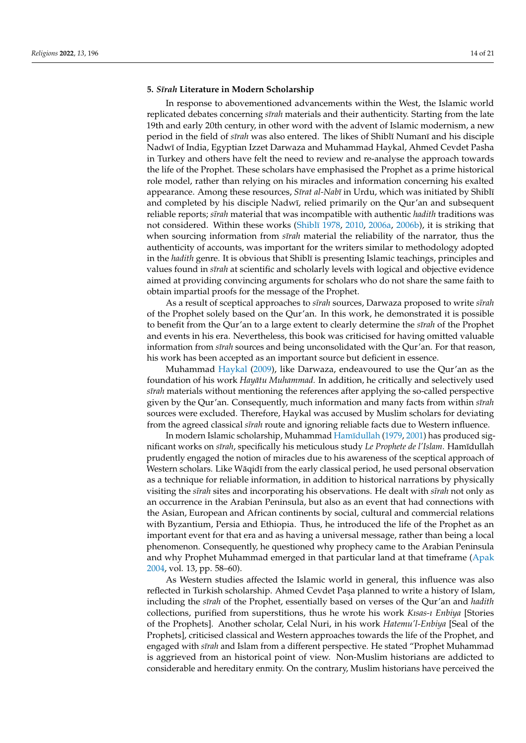#### **5.** *S¯ırah* **Literature in Modern Scholarship**

In response to abovementioned advancements within the West, the Islamic world replicated debates concerning *s¯ırah* materials and their authenticity. Starting from the late 19th and early 20th century, in other word with the advent of Islamic modernism, a new period in the field of *sīrah* was also entered. The likes of Shiblī Numanī and his disciple Nadwī of India, Egyptian Izzet Darwaza and Muhammad Haykal, Ahmed Cevdet Pasha in Turkey and others have felt the need to review and re-analyse the approach towards the life of the Prophet. These scholars have emphasised the Prophet as a prime historical role model, rather than relying on his miracles and information concerning his exalted appearance. Among these resources, *Sīrat al-Nabī* in Urdu, which was initiated by Shiblī and completed by his disciple Nadwī, relied primarily on the Qur'an and subsequent reliable reports; *s¯ırah* material that was incompatible with authentic *hadith* traditions was not considered. Within these works (Shiblī [1978,](#page-19-39) [2010,](#page-20-10) [2006a,](#page-19-40) [2006b\)](#page-20-11), it is striking that when sourcing information from *strah* material the reliability of the narrator, thus the authenticity of accounts, was important for the writers similar to methodology adopted in the *hadith* genre. It is obvious that Shiblī is presenting Islamic teachings, principles and values found in *s¯ırah* at scientific and scholarly levels with logical and objective evidence aimed at providing convincing arguments for scholars who do not share the same faith to obtain impartial proofs for the message of the Prophet.

As a result of sceptical approaches to *s¯ırah* sources, Darwaza proposed to write *s¯ırah* of the Prophet solely based on the Qur'an. In this work, he demonstrated it is possible to benefit from the Qur'an to a large extent to clearly determine the *s¯ırah* of the Prophet and events in his era. Nevertheless, this book was criticised for having omitted valuable information from *sīrah* sources and being unconsolidated with the Qur'an. For that reason, his work has been accepted as an important source but deficient in essence.

Muhammad [Haykal](#page-19-41) [\(2009\)](#page-19-41), like Darwaza, endeavoured to use the Qur'an as the foundation of his work *Hayātu Muhammad*. In addition, he critically and selectively used *s¯ırah* materials without mentioning the references after applying the so-called perspective given by the Qur'an. Consequently, much information and many facts from within *s¯ırah* sources were excluded. Therefore, Haykal was accused by Muslim scholars for deviating from the agreed classical *sīrah* route and ignoring reliable facts due to Western influence.

In modern Islamic scholarship, Muhammad [Ham¯ıdullah](#page-19-42) [\(1979,](#page-19-42) [2001\)](#page-19-43) has produced significant works on *sīrah*, specifically his meticulous study *Le Prophete de l'Islam*. Hamīdullah prudently engaged the notion of miracles due to his awareness of the sceptical approach of Western scholars. Like Wāqidī from the early classical period, he used personal observation as a technique for reliable information, in addition to historical narrations by physically visiting the *s¯ırah* sites and incorporating his observations. He dealt with *s¯ırah* not only as an occurrence in the Arabian Peninsula, but also as an event that had connections with the Asian, European and African continents by social, cultural and commercial relations with Byzantium, Persia and Ethiopia. Thus, he introduced the life of the Prophet as an important event for that era and as having a universal message, rather than being a local phenomenon. Consequently, he questioned why prophecy came to the Arabian Peninsula and why Prophet Muhammad emerged in that particular land at that timeframe [\(Apak](#page-18-24) [2004,](#page-18-24) vol. 13, pp. 58–60).

As Western studies affected the Islamic world in general, this influence was also reflected in Turkish scholarship. Ahmed Cevdet Paşa planned to write a history of Islam, including the *s¯ırah* of the Prophet, essentially based on verses of the Qur'an and *hadith* collections, purified from superstitions, thus he wrote his work *Kısas-ı Enbiya* [Stories of the Prophets]. Another scholar, Celal Nuri, in his work *Hatemu'l-Enbiya* [Seal of the Prophets], criticised classical and Western approaches towards the life of the Prophet, and engaged with *s¯ırah* and Islam from a different perspective. He stated "Prophet Muhammad is aggrieved from an historical point of view. Non-Muslim historians are addicted to considerable and hereditary enmity. On the contrary, Muslim historians have perceived the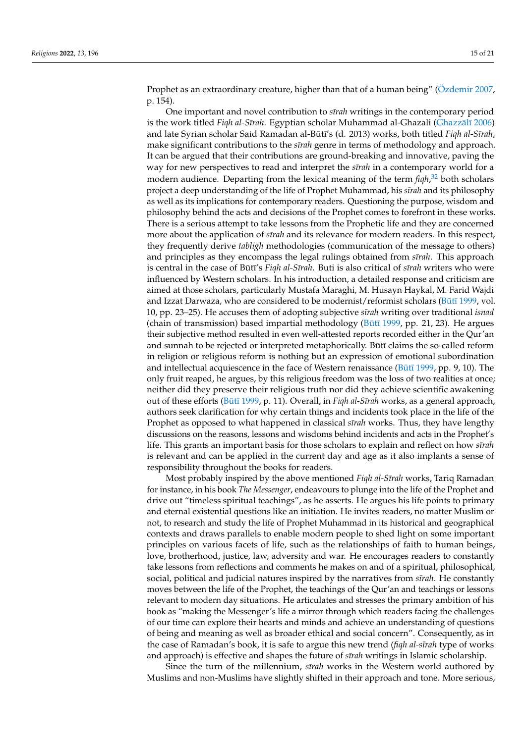<span id="page-14-0"></span>

Prophet as an extraordinary creature, higher than that of a human being" (Ozdemir [2007,](#page-19-16) p. 154).

One important and novel contribution to *s¯ırah* writings in the contemporary period is the work titled *Figh al-Sīrah*. Egyptian scholar Muhammad al-Ghazali (Ghazzālī [2006\)](#page-19-44) and late Syrian scholar Said Ramadan al-Būtī's (d. 2013) works, both titled *Fiqh al-Sīrah*, make significant contributions to the *sīrah* genre in terms of methodology and approach. It can be argued that their contributions are ground-breaking and innovative, paving the way for new perspectives to read and interpret the *sīrah* in a contemporary world for a modern audience. Departing from the lexical meaning of the term *fiqh*, [32](#page-17-17) both scholars project a deep understanding of the life of Prophet Muhammad, his *sīrah* and its philosophy as well as its implications for contemporary readers. Questioning the purpose, wisdom and philosophy behind the acts and decisions of the Prophet comes to forefront in these works. There is a serious attempt to take lessons from the Prophetic life and they are concerned more about the application of *sīrah* and its relevance for modern readers. In this respect, they frequently derive *tabligh* methodologies (communication of the message to others) and principles as they encompass the legal rulings obtained from *sīrah*. This approach is central in the case of Būtī's *Fiqh al-Sīrah*. Buti is also critical of *sīrah* writers who were influenced by Western scholars. In his introduction, a detailed response and criticism are aimed at those scholars, particularly Mustafa Maraghi, M. Husayn Haykal, M. Farid Wajdi and Izzat Darwaza, who are considered to be modernist/reformist scholars ( $B\bar{u}t\bar{u}$  [1999,](#page-18-25) vol. 10, pp. 23–25). He accuses them of adopting subjective *s¯ırah* writing over traditional *isnad* (chain of transmission) based impartial methodology ( $Būt\bar{i}$  [1999,](#page-18-25) pp. 21, 23). He argues their subjective method resulted in even well-attested reports recorded either in the Qur'an and sunnah to be rejected or interpreted metaphorically. But claims the so-called reform in religion or religious reform is nothing but an expression of emotional subordination and intellectual acquiescence in the face of Western renaissance ( $Būt\bar{t}$  [1999,](#page-18-25) pp. 9, 10). The only fruit reaped, he argues, by this religious freedom was the loss of two realities at once; neither did they preserve their religious truth nor did they achieve scientific awakening out of these efforts (Būtī [1999,](#page-18-25) p. 11). Overall, in *Figh al-Sīrah* works, as a general approach, authors seek clarification for why certain things and incidents took place in the life of the Prophet as opposed to what happened in classical *sīrah* works. Thus, they have lengthy discussions on the reasons, lessons and wisdoms behind incidents and acts in the Prophet's life. This grants an important basis for those scholars to explain and reflect on how *strah* is relevant and can be applied in the current day and age as it also implants a sense of responsibility throughout the books for readers.

Most probably inspired by the above mentioned *Fiqh al-S¯ırah* works, Tariq Ramadan for instance, in his book *The Messenger*, endeavours to plunge into the life of the Prophet and drive out "timeless spiritual teachings", as he asserts. He argues his life points to primary and eternal existential questions like an initiation. He invites readers, no matter Muslim or not, to research and study the life of Prophet Muhammad in its historical and geographical contexts and draws parallels to enable modern people to shed light on some important principles on various facets of life, such as the relationships of faith to human beings, love, brotherhood, justice, law, adversity and war. He encourages readers to constantly take lessons from reflections and comments he makes on and of a spiritual, philosophical, social, political and judicial natures inspired by the narratives from *sīrah*. He constantly moves between the life of the Prophet, the teachings of the Qur'an and teachings or lessons relevant to modern day situations. He articulates and stresses the primary ambition of his book as "making the Messenger's life a mirror through which readers facing the challenges of our time can explore their hearts and minds and achieve an understanding of questions of being and meaning as well as broader ethical and social concern". Consequently, as in the case of Ramadan's book, it is safe to argue this new trend (*fiqh al-s¯ırah* type of works and approach) is effective and shapes the future of *sīrah* writings in Islamic scholarship.

Since the turn of the millennium, *sīrah* works in the Western world authored by Muslims and non-Muslims have slightly shifted in their approach and tone. More serious,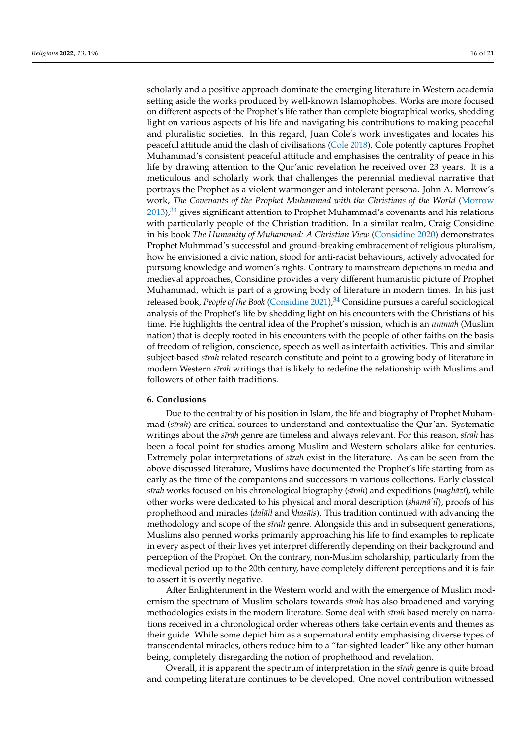<span id="page-15-0"></span>scholarly and a positive approach dominate the emerging literature in Western academia setting aside the works produced by well-known Islamophobes. Works are more focused on different aspects of the Prophet's life rather than complete biographical works, shedding light on various aspects of his life and navigating his contributions to making peaceful and pluralistic societies. In this regard, Juan Cole's work investigates and locates his peaceful attitude amid the clash of civilisations [\(Cole](#page-18-26) [2018\)](#page-18-26). Cole potently captures Prophet Muhammad's consistent peaceful attitude and emphasises the centrality of peace in his life by drawing attention to the Qur'anic revelation he received over 23 years. It is a meticulous and scholarly work that challenges the perennial medieval narrative that portrays the Prophet as a violent warmonger and intolerant persona. John A. Morrow's work, *The Covenants of the Prophet Muhammad with the Christians of the World* [\(Morrow](#page-19-45)  $2013$ ,  $33\%$  $33\%$  gives significant attention to Prophet Muhammad's covenants and his relations with particularly people of the Christian tradition. In a similar realm, Craig Considine in his book *The Humanity of Muhammad: A Christian View* [\(Considine](#page-18-27) [2020\)](#page-18-27) demonstrates Prophet Muhmmad's successful and ground-breaking embracement of religious pluralism, how he envisioned a civic nation, stood for anti-racist behaviours, actively advocated for pursuing knowledge and women's rights. Contrary to mainstream depictions in media and medieval approaches, Considine provides a very different humanistic picture of Prophet Muhammad, which is part of a growing body of literature in modern times. In his just released book, *People of the Book* [\(Considine](#page-18-28) [2021\)](#page-18-28),<sup>[34](#page-17-19)</sup> Considine pursues a careful sociological analysis of the Prophet's life by shedding light on his encounters with the Christians of his time. He highlights the central idea of the Prophet's mission, which is an *ummah* (Muslim nation) that is deeply rooted in his encounters with the people of other faiths on the basis of freedom of religion, conscience, speech as well as interfaith activities. This and similar subject-based *s¯ırah* related research constitute and point to a growing body of literature in modern Western *sīrah* writings that is likely to redefine the relationship with Muslims and followers of other faith traditions.

### <span id="page-15-1"></span>**6. Conclusions**

Due to the centrality of his position in Islam, the life and biography of Prophet Muhammad (*sīrah*) are critical sources to understand and contextualise the Qur'an. Systematic writings about the *s¯ırah* genre are timeless and always relevant. For this reason, *s¯ırah* has been a focal point for studies among Muslim and Western scholars alike for centuries. Extremely polar interpretations of *sīrah* exist in the literature. As can be seen from the above discussed literature, Muslims have documented the Prophet's life starting from as early as the time of the companions and successors in various collections. Early classical *sīrah* works focused on his chronological biography (*sīrah*) and expeditions (*maghāzī*), while other works were dedicated to his physical and moral description *(shama'il)*, proofs of his prophethood and miracles (*dalāil* and *khasāis*). This tradition continued with advancing the methodology and scope of the *sīrah* genre. Alongside this and in subsequent generations, Muslims also penned works primarily approaching his life to find examples to replicate in every aspect of their lives yet interpret differently depending on their background and perception of the Prophet. On the contrary, non-Muslim scholarship, particularly from the medieval period up to the 20th century, have completely different perceptions and it is fair to assert it is overtly negative.

After Enlightenment in the Western world and with the emergence of Muslim modernism the spectrum of Muslim scholars towards *sīrah* has also broadened and varying methodologies exists in the modern literature. Some deal with *sīrah* based merely on narrations received in a chronological order whereas others take certain events and themes as their guide. While some depict him as a supernatural entity emphasising diverse types of transcendental miracles, others reduce him to a "far-sighted leader" like any other human being, completely disregarding the notion of prophethood and revelation.

Overall, it is apparent the spectrum of interpretation in the *s¯ırah* genre is quite broad and competing literature continues to be developed. One novel contribution witnessed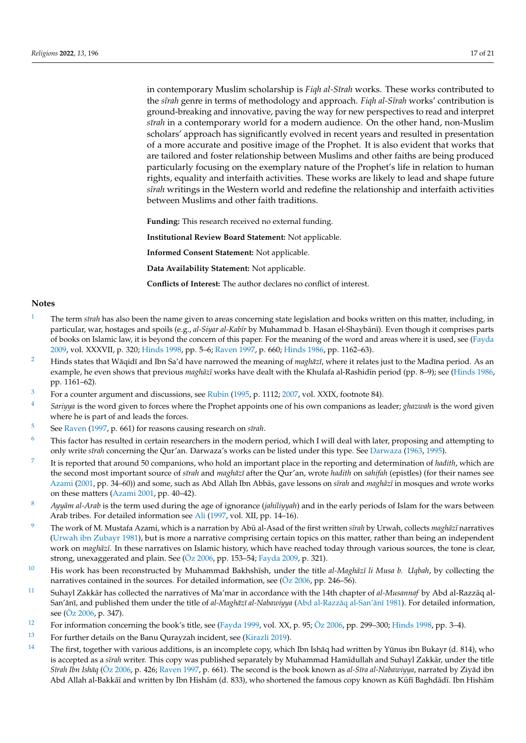in contemporary Muslim scholarship is *Fiqh al-Sīrah* works. These works contributed to the *sīrah* genre in terms of methodology and approach. *Fiqh al-Sīrah* works' contribution is ground-breaking and innovative, paving the way for new perspectives to read and interpret *sīrah* in a contemporary world for a modern audience. On the other hand, non-Muslim scholars' approach has significantly evolved in recent years and resulted in presentation of a more accurate and positive image of the Prophet. It is also evident that works that are tailored and foster relationship between Muslims and other faiths are being produced particularly focusing on the exemplary nature of the Prophet's life in relation to human rights, equality and interfaith activities. These works are likely to lead and shape future *s¯ırah* writings in the Western world and redefine the relationship and interfaith activities between Muslims and other faith traditions.

**Funding:** This research received no external funding.

**Institutional Review Board Statement:** Not applicable.

**Informed Consent Statement:** Not applicable.

**Data Availability Statement:** Not applicable.

**Conflicts of Interest:** The author declares no conflict of interest.

#### **Notes**

- <span id="page-16-0"></span>The term *sīrah* has also been the name given to areas concerning state legislation and books written on this matter, including, in particular, war, hostages and spoils (e.g., al-Siyar al-Kabīr by Muhammad b. Hasan el-Shaybānī). Even though it comprises parts of books on Islamic law, it is beyond the concern of this paper. For the meaning of the word and areas where it is used, see [\(Fayda](#page-19-6) [2009,](#page-19-6) vol. XXXVII, p. 320; [Hinds](#page-19-3) [1998,](#page-19-3) pp. 5–6; [Raven](#page-19-2) [1997,](#page-19-2) p. 660; [Hinds](#page-19-4) [1986,](#page-19-4) pp. 1162–63).
- <span id="page-16-1"></span><sup>[2](#page-0-1)</sup> Hinds states that Wāqidī and Ibn Sa'd have narrowed the meaning of *maghāzī*, where it relates just to the Madīna period. As an example, he even shows that previous *maghāzī* works have dealt with the Khulafa al-Rashidīn period (pp. 8–9); see [\(Hinds](#page-19-4) [1986,](#page-19-4) pp. 1161–62).
- <span id="page-16-2"></span><sup>[3](#page-0-2)</sup> For a counter argument and discussions, see [Rubin](#page-19-46) [\(1995,](#page-19-46) p. 1112; [2007,](#page-19-10) vol. XXIX, footnote 84).
- <span id="page-16-3"></span>[4](#page-0-3) *Sariyya* is the word given to forces where the Prophet appoints one of his own companions as leader; *ghazwah* is the word given where he is part of and leads the forces.
- <span id="page-16-4"></span>[5](#page-0-4)ee [Raven](#page-19-2) [\(1997,](#page-19-2) p. 661) for reasons causing research on *sīrah*.
- <span id="page-16-5"></span><sup>[6](#page-1-0)</sup> This factor has resulted in certain researchers in the modern period, which I will deal with later, proposing and attempting to only write *s¯ırah* concerning the Qur'an. Darwaza's works can be listed under this type. See [Darwaza](#page-18-29) [\(1963,](#page-18-29) [1995\)](#page-18-30).
- <span id="page-16-6"></span>[7](#page-1-1) It is reported that around 50 companions, who hold an important place in the reporting and determination of *hadith*, which are the second most important source of *s¯ırah* and *maghaz¯ ¯ı* after the Qur'an, wrote *hadith* on *sahifah* (epistles) (for their names see [Azami](#page-18-31) [\(2001,](#page-18-31) pp. 34–60)) and some, such as Abd Allah Ibn Abbās, gave lessons on s*īrah* and *maghāzī* in mosques and wrote works on these matters [\(Azami](#page-18-31) [2001,](#page-18-31) pp. 40–42).
- <span id="page-16-7"></span><sup>[8](#page-1-2)</sup> *Ayyām al-Arab* is the term used during the age of ignorance (*jahiliyyah*) and in the early periods of Islam for the wars between Arab tribes. For detailed information see [Ali](#page-18-32) [\(1997,](#page-18-32) vol. XII, pp. 14–16).
- <span id="page-16-8"></span><sup>[9](#page-2-0)</sup> The work of M. Mustafa Azami, which is a narration by Abū al-Asad of the first written *sīrah* by Urwah, collects *maghāzī* narratives [\(Urwah ibn Zubayr](#page-20-12) [1981\)](#page-20-12), but is more a narrative comprising certain topics on this matter, rather than being an independent work on *maghāzī*. In these narratives on Islamic history, which have reached today through various sources, the tone is clear, strong, unexaggerated and plain. See [\(Öz](#page-19-5) [2006,](#page-19-5) pp. 153–54; [Fayda](#page-19-6) [2009,](#page-19-6) p. 321).
- <span id="page-16-9"></span><sup>[10](#page-3-0)</sup> His work has been reconstructed by Muhammad Bakhshīsh, under the title *al-Maghāzī li Musa b. Uqbah*, by collecting the narratives contained in the sources. For detailed information, see [\(Öz](#page-19-5) [2006,](#page-19-5) pp. 246–56).
- <span id="page-16-10"></span><sup>[11](#page-3-1)</sup> Suhayl Zakkār has collected the narratives of Ma'mar in accordance with the 14th chapter of *al-Musannaf* by Abd al-Razzāq al-San'ānī, and published them under the title of *al-Maghāzī al-Nabawiyya* (Abd al-Razzāq al-San'ānī [1981\)](#page-18-33). For detailed information, see [\(Öz](#page-19-5) [2006,](#page-19-5) p. 347).
- <span id="page-16-11"></span><sup>[12](#page-3-2)</sup> For information concerning the book's title, see [\(Fayda](#page-18-34) [1999,](#page-18-34) vol. XX, p. 95; [Öz](#page-19-5) [2006,](#page-19-5) pp. 299–300; [Hinds](#page-19-3) [1998,](#page-19-3) pp. 3–4).
- <span id="page-16-12"></span>[13](#page-4-0) For further details on the Banu Qurayzah incident, see [\(Kirazli](#page-19-47) [2019\)](#page-19-47).
- <span id="page-16-13"></span><sup>[14](#page-4-1)</sup> The first, together with various additions, is an incomplete copy, which Ibn Ishāq had written by Yūnus ibn Bukayr (d. 814), who is accepted as a *sīrah* writer. This copy was published separately by Muhammad Hamīdullah and Suhayl Zakkār, under the title *Sīrah Ibn Ishāq* [\(Öz](#page-19-5) [2006,](#page-19-5) p. 426; [Raven](#page-19-2) [1997,](#page-19-2) p. 661). The second is the book known as *al-Sīra al-Nabawiyya*, narrated by Ziyād ibn Abd Allah al-Bakkāī and written by Ibn Hishām (d. 833), who shortened the famous copy known as Kūfī Baghdādī. Ibn Hishām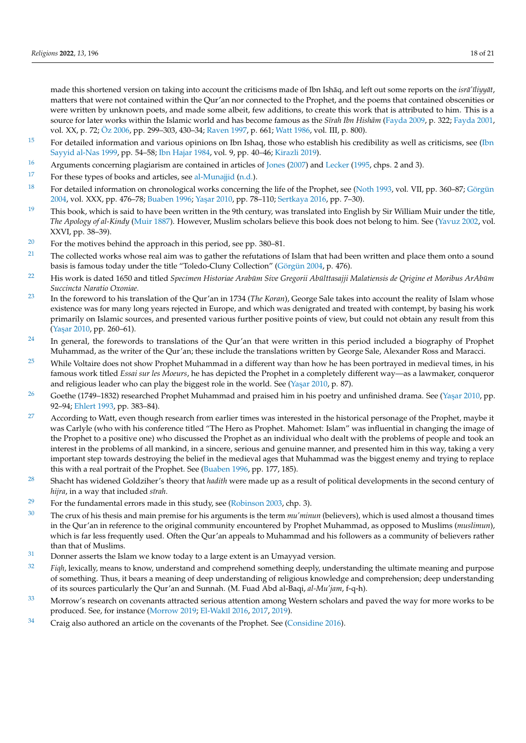made this shortened version on taking into account the criticisms made of Ibn Ishāq, and left out some reports on the *isrā'* īliyyāt, matters that were not contained within the Qur'an nor connected to the Prophet, and the poems that contained obscenities or were written by unknown poets, and made some albeit, few additions, to create this work that is attributed to him. This is a source for later works within the Islamic world and has become famous as the *Sīrah Ibn Hishām* [\(Fayda](#page-19-6) [2009,](#page-19-6) p. 322; [Fayda](#page-18-5) [2001,](#page-18-5) vol. XX, p. 72; [Öz](#page-19-5) [2006,](#page-19-5) pp. 299–303, 430–34; [Raven](#page-19-2) [1997,](#page-19-2) p. 661; [Watt](#page-20-8) [1986,](#page-20-8) vol. III, p. 800).

- <span id="page-17-0"></span> $15$  For detailed information and various opinions on Ibn Ishaq, those who establish his credibility as well as criticisms, see [\(Ibn](#page-19-18) [Sayyid al-Nas](#page-19-18) [1999,](#page-19-18) pp. 54–58; [Ibn Hajar](#page-19-17) [1984,](#page-19-17) vol. 9, pp. 40–46; [Kirazli](#page-19-47) [2019\)](#page-19-47).
- <span id="page-17-1"></span><sup>[16](#page-5-0)</sup> Arguments concerning plagiarism are contained in articles of [Jones](#page-19-48) [\(2007\)](#page-19-48) and [Lecker](#page-19-49) [\(1995,](#page-19-49) chps. 2 and 3).
- <span id="page-17-2"></span> $17$  For these types of books and articles, see [al-Munajjid](#page-18-35) [\(n.d.\)](#page-18-35).
- <span id="page-17-3"></span>[18](#page-8-0) For detailed information on chronological works concerning the life of the Prophet, see [\(Noth](#page-19-33) [1993,](#page-19-33) vol. VII, pp. 360–87; [Görgün](#page-19-34) [2004,](#page-19-34) vol. XXX, pp. 476–78; [Buaben](#page-18-18) [1996;](#page-18-18) Yaşar [2010,](#page-20-5) pp. 78–110; [Sertkaya](#page-20-13) [2016,](#page-20-13) pp. 7–30).
- <span id="page-17-4"></span> $19$  This book, which is said to have been written in the 9th century, was translated into English by Sir William Muir under the title, *The Apology of al-Kindy* [\(Muir](#page-19-50) [1887\)](#page-19-50). However, Muslim scholars believe this book does not belong to him. See [\(Yavuz](#page-20-14) [2002,](#page-20-14) vol. XXVI, pp. 38–39).
- <span id="page-17-5"></span><sup>[20](#page-9-0)</sup> For the motives behind the approach in this period, see pp. 380–81.
- <span id="page-17-6"></span><sup>[21](#page-9-1)</sup> The collected works whose real aim was to gather the refutations of Islam that had been written and place them onto a sound basis is famous today under the title "Toledo-Cluny Collection" [\(Görgün](#page-19-34) [2004,](#page-19-34) p. 476).
- <span id="page-17-7"></span><sup>[22](#page-9-2)</sup> His work is dated 1650 and titled *Specimen Historiae Arabūm Sive Gregorii Abūlttasajji Malatiensis de Qrigine et Moribus ArAbūm Succincta Naratio Oxoniae.*
- <span id="page-17-8"></span>[23](#page-9-3) In the foreword to his translation of the Qur'an in 1734 (*The Koran*), George Sale takes into account the reality of Islam whose existence was for many long years rejected in Europe, and which was denigrated and treated with contempt, by basing his work primarily on Islamic sources, and presented various further positive points of view, but could not obtain any result from this (Yaşar [2010,](#page-20-5) pp. 260–61).
- <span id="page-17-9"></span> $24$  In general, the forewords to translations of the Qur'an that were written in this period included a biography of Prophet Muhammad, as the writer of the Qur'an; these include the translations written by George Sale, Alexander Ross and Maracci.
- <span id="page-17-10"></span><sup>[25](#page-9-5)</sup> While Voltaire does not show Prophet Muhammad in a different way than how he has been portrayed in medieval times, in his famous work titled *Essai sur les Moeurs*, he has depicted the Prophet in a completely different way—as a lawmaker, conqueror and religious leader who can play the biggest role in the world. See (Yaşar [2010,](#page-20-5) p. 87).
- <span id="page-17-11"></span><sup>[26](#page-9-6)</sup> Goethe (1749–1832) researched Prophet Muhammad and praised him in his poetry and unfinished drama. See (Yaşar [2010,](#page-20-5) pp. 92–94; [Ehlert](#page-18-16) [1993,](#page-18-16) pp. 383–84).
- <span id="page-17-12"></span> $27$  According to Watt, even though research from earlier times was interested in the historical personage of the Prophet, maybe it was Carlyle (who with his conference titled "The Hero as Prophet. Mahomet: Islam" was influential in changing the image of the Prophet to a positive one) who discussed the Prophet as an individual who dealt with the problems of people and took an interest in the problems of all mankind, in a sincere, serious and genuine manner, and presented him in this way, taking a very important step towards destroying the belief in the medieval ages that Muhammad was the biggest enemy and trying to replace this with a real portrait of the Prophet. See [\(Buaben](#page-18-18) [1996,](#page-18-18) pp. 177, 185).
- <span id="page-17-13"></span>[28](#page-11-0) Shacht has widened Goldziher's theory that *hadith* were made up as a result of political developments in the second century of *hijra*, in a way that included *s¯ırah*.
- <span id="page-17-14"></span><sup>[29](#page-11-1)</sup> For the fundamental errors made in this study, see [\(Robinson](#page-19-51) [2003,](#page-19-51) chp. 3).
- <span id="page-17-15"></span>[30](#page-11-2) The crux of his thesis and main premise for his arguments is the term *mu'minun* (believers), which is used almost a thousand times in the Qur'an in reference to the original community encountered by Prophet Muhammad, as opposed to Muslims (*muslimun*), which is far less frequently used. Often the Qur'an appeals to Muhammad and his followers as a community of believers rather than that of Muslims.
- <span id="page-17-16"></span> $31$  Donner asserts the Islam we know today to a large extent is an Umayyad version.
- <span id="page-17-17"></span><sup>[32](#page-14-0)</sup> *Figh*, lexically, means to know, understand and comprehend something deeply, understanding the ultimate meaning and purpose of something. Thus, it bears a meaning of deep understanding of religious knowledge and comprehension; deep understanding of its sources particularly the Qur'an and Sunnah. (M. Fuad Abd al-Baqi, *al-Mu'jam*, f-q-h).
- <span id="page-17-18"></span>[33](#page-15-0) Morrow's research on covenants attracted serious attention among Western scholars and paved the way for more works to be produced. See, for instance [\(Morrow](#page-19-52) [2019;](#page-19-52) El-Wakīl [2016,](#page-18-36) [2017,](#page-18-37) [2019\)](#page-18-38).
- <span id="page-17-19"></span> $34$  Craig also authored an article on the covenants of the Prophet. See [\(Considine](#page-18-39) [2016\)](#page-18-39).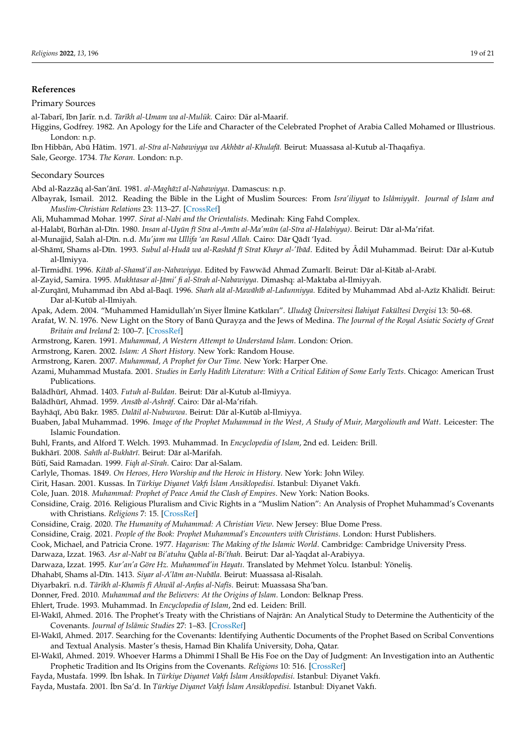#### **References**

## Primary Sources

- al-Tabarī, Ibn Jarīr. n.d. *Tarīkh al-Umam wa al-Mulūk*. Cairo: Dār al-Maarif.
- Higgins, Godfrey. 1982. An Apology for the Life and Character of the Celebrated Prophet of Arabia Called Mohamed or Illustrious. London: n.p.
- Ibn Hibbān, Abū Hātim. 1971. al-Sīra al-Nabawiyya wa Akhbār al-Khulafā. Beirut: Muassasa al-Kutub al-Thaqafiya. Sale, George. 1734. *The Koran.* London: n.p.

#### Secondary Sources

<span id="page-18-33"></span>Abd al-Razzāq al-San'ānī. 1981. *al-Maghāzī al-Nabawiyya*. Damascus: n.p.

- <span id="page-18-2"></span>Albayrak, Ismail. 2012. Reading the Bible in the Light of Muslim Sources: From *Isra'iliyyat* to *Islâmiyyât*. *Journal of Islam and Muslim-Christian Relations* 23: 113–27. [\[CrossRef\]](http://doi.org/10.1080/09596410.2012.655062)
- <span id="page-18-32"></span>Ali, Muhammad Mohar. 1997. *Sirat al-Nabi and the Orientalists*. Medinah: King Fahd Complex.
- <span id="page-18-6"></span>al-Halabī, Būrhān al-Dīn. 1980. *Insan al-Uyūn fī Sīra al-Amīn al-Ma'mūn (al-Sīra al-Halabiyya)*. Beirut: Dār al-Ma'rifat.
- <span id="page-18-35"></span>al-Munajjid, Salah al-Dīn. n.d. *Mu'jam ma Ullifa 'an Rasul Allah*. Cairo: Dār Qādī 'Iyad.
- <span id="page-18-14"></span>al-Shāmī, Shams al-Dīn. 1993. *Subul al-Hudā wa al-Rashād fī Sīrat Khayr al-'Ibād*. Edited by Âdil Muhammad. Beirut: Dār al-Kutub al-Ilmiyya.
- <span id="page-18-12"></span>al-Tirmidhī. 1996. *Kitāb al-Shamā'il an-Nabawiyya*. Edited by Fawwād Ahmad Zumarlī. Beirut: Dār al-Kitāb al-Arabī.

<span id="page-18-4"></span>al-Zayid, Samira. 1995. Mukhtasar al-Jāmi' fi al-Sīrah al-Nabawiyya. Dimashq: al-Maktaba al-Ilmiyyah.

- <span id="page-18-15"></span>al-Zurqānī, Muhammad ibn Abd al-Baqī. 1996. *Sharh alā al-Mawāhīb al-Ladunniyya*. Edited by Muhammad Abd al-Azīz Khālidī. Beirut: Dar al-Kutūb al-Ilmiyah.
- <span id="page-18-24"></span>Apak, Adem. 2004. "Muhammed Hamidullah'ın Siyer ˙Ilmine Katkıları". *Uluda ˘g Üniversitesi ˙Ilahiyat Fakültesi Dergisi* 13: 50–68.
- <span id="page-18-3"></span>Arafat, W. N. 1976. New Light on the Story of Banū Qurayza and the Jews of Medina. *The Journal of the Royal Asiatic Society of Great Britain and Ireland* 2: 100–7. [\[CrossRef\]](http://doi.org/10.1017/S0035869X00133349)
- <span id="page-18-21"></span>Armstrong, Karen. 1991. *Muhammad, A Western Attempt to Understand Islam*. London: Orion.
- <span id="page-18-22"></span>Armstrong, Karen. 2002. *Islam: A Short History*. New York: Random House.
- <span id="page-18-23"></span>Armstrong, Karen. 2007. *Muhammad, A Prophet for Our Time*. New York: Harper One.
- <span id="page-18-31"></span>Azami, Muhammad Mustafa. 2001. *Studies in Early Hadith Literature: With a Critical Edition of Some Early Texts*. Chicago: American Trust Publications.
- <span id="page-18-7"></span>Balādhūrī, Ahmad. 1403. *Futuh al-Buldan*. Beirut: Dār al-Kutub al-Ilmiyya.
- <span id="page-18-8"></span>Balādhūrī, Ahmad. 1959. *Ansāb al-Ashrāf*. Cairo: Dār al-Ma'rifah.
- <span id="page-18-13"></span>Bayhāqī, Abū Bakr. 1985. *Dalāil al-Nubuwwa*. Beirut: Dār al-Kutūb al-Ilmiyya.
- <span id="page-18-18"></span>Buaben, Jabal Muhammad. 1996. *Image of the Prophet Muhammad in the West, A Study of Muir, Margoliouth and Watt*. Leicester: The Islamic Foundation.
- <span id="page-18-10"></span>Buhl, Frants, and Alford T. Welch. 1993. Muhammad. In *Encyclopedia of Islam*, 2nd ed. Leiden: Brill.
- <span id="page-18-0"></span>Bukhārī. 2008. *Sahīh al-Bukhārī*. Beirut: Dār al-Marifah.
- <span id="page-18-25"></span>Būtī, Said Ramadan. 1999. *Fiqh al-Sīrah*. Cairo: Dar al-Salam.
- <span id="page-18-17"></span>Carlyle, Thomas. 1849. *On Heroes, Hero Worship and the Heroic in History*. New York: John Wiley.
- <span id="page-18-1"></span>Cirit, Hasan. 2001. Kussas. In *Türkiye Diyanet Vakfı ˙Islam Ansiklopedisi*. Istanbul: Diyanet Vakfı.
- <span id="page-18-26"></span>Cole, Juan. 2018. *Muhammad: Prophet of Peace Amid the Clash of Empires*. New York: Nation Books.
- <span id="page-18-39"></span>Considine, Craig. 2016. Religious Pluralism and Civic Rights in a "Muslim Nation": An Analysis of Prophet Muhammad's Covenants with Christians. *Religions* 7: 15. [\[CrossRef\]](http://doi.org/10.3390/rel7020015)
- <span id="page-18-27"></span>Considine, Craig. 2020. *The Humanity of Muhammad: A Christian View*. New Jersey: Blue Dome Press.
- <span id="page-18-28"></span>Considine, Craig. 2021. *People of the Book: Prophet Muhammad's Encounters with Christians*. London: Hurst Publishers.
- <span id="page-18-20"></span>Cook, Michael, and Patricia Crone. 1977. *Hagarism: The Making of the Islamic World*. Cambridge: Cambridge University Press.
- <span id="page-18-29"></span>Darwaza, Izzat. 1963. *Asr al-Nabī va Bi'atuhu Qabla al-Bi'thah*. Beirut: Dar al-Yaqdat al-Arabiyya.
- <span id="page-18-30"></span>Darwaza, Izzat. 1995. *Kur'an'a Göre Hz. Muhammed'in Hayatı*. Translated by Mehmet Yolcu. Istanbul: Yöneliş.
- <span id="page-18-11"></span><span id="page-18-9"></span>Dhahabī, Shams al-Dīn. 1413. *Siyar al-A'lām an-Nubāla*. Beirut: Muassasa al-Risalah.
- Diyarbakrī. n.d. *Tārīkh al-Khamīs fī Ahwāl al-Anfas al-Nafīs*. Beirut: Muassasa Sha'ban.
- <span id="page-18-19"></span>Donner, Fred. 2010. *Muhammad and the Believers: At the Origins of Islam*. London: Belknap Press.
- <span id="page-18-16"></span>Ehlert, Trude. 1993. Muhammad. In *Encyclopedia of Islam*, 2nd ed. Leiden: Brill.
- <span id="page-18-36"></span>El-Wakīl, Ahmed. 2016. The Prophet's Treaty with the Christians of Najrān: An Analytical Study to Determine the Authenticity of the Covenants. *Journal of Islāmic Studies* 27: 1-83. [\[CrossRef\]](http://doi.org/10.1093/jis/etw027)
- <span id="page-18-37"></span>El-Wakīl, Ahmed. 2017. Searching for the Covenants: Identifying Authentic Documents of the Prophet Based on Scribal Conventions and Textual Analysis. Master's thesis, Hamad Bin Khalifa University, Doha, Qatar.
- <span id="page-18-38"></span>El-Wakīl, Ahmed. 2019. Whoever Harms a Dhimmī I Shall Be His Foe on the Day of Judgment: An Investigation into an Authentic Prophetic Tradition and Its Origins from the Covenants. *Religions* 10: 516. [\[CrossRef\]](http://doi.org/10.3390/rel10090516)
- <span id="page-18-34"></span>Fayda, Mustafa. 1999. ˙Ibn ˙Ishak. In *Türkiye Diyanet Vakfı ˙Islam Ansiklopedisi*. Istanbul: Diyanet Vakfı.
- <span id="page-18-5"></span>Fayda, Mustafa. 2001. ˙Ibn Sa'd. In *Türkiye Diyanet Vakfı ˙Islam Ansiklopedisi*. Istanbul: Diyanet Vakfı.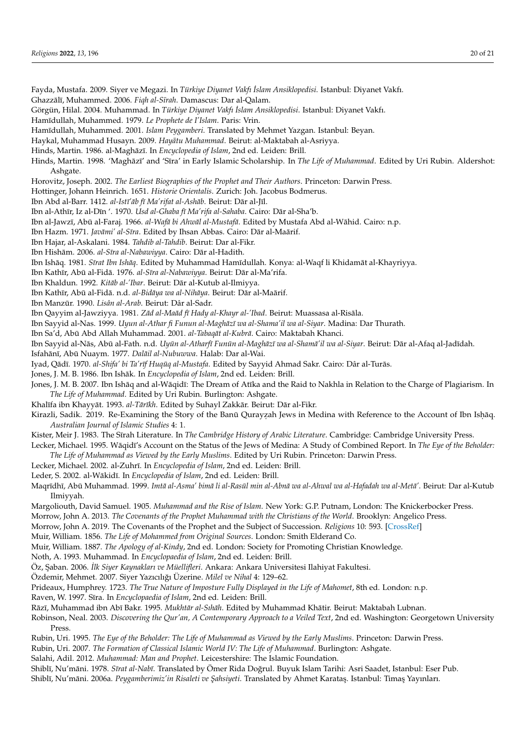<span id="page-19-44"></span><span id="page-19-43"></span><span id="page-19-42"></span><span id="page-19-41"></span><span id="page-19-35"></span><span id="page-19-34"></span><span id="page-19-31"></span><span id="page-19-29"></span><span id="page-19-28"></span><span id="page-19-27"></span><span id="page-19-26"></span><span id="page-19-24"></span><span id="page-19-23"></span><span id="page-19-22"></span><span id="page-19-18"></span><span id="page-19-17"></span><span id="page-19-14"></span><span id="page-19-13"></span><span id="page-19-11"></span><span id="page-19-9"></span><span id="page-19-8"></span><span id="page-19-7"></span><span id="page-19-6"></span><span id="page-19-4"></span><span id="page-19-3"></span><span id="page-19-0"></span>Fayda, Mustafa. 2009. Siyer ve Megazi. In *Türkiye Diyanet Vakfı ˙Islam Ansiklopedisi*. Istanbul: Diyanet Vakfı. Ghazzālī, Muhammed. 2006. *Fiqh al-Sīrah*. Damascus: Dar al-Qalam. Görgün, Hilal. 2004. Muhammad. In *Türkiye Diyanet Vakfı ˙Islam Ansiklopedisi*. Istanbul: Diyanet Vakfı. Ham¯ıdullah, Muhammed. 1979. *Le Prophete de I'Islam*. Paris: Vrin. Ham¯ıdullah, Muhammed. 2001. *Islam Peygamberi*. Translated by Mehmet Yazgan. Istanbul: Beyan. Haykal, Muhammad Husayn. 2009. *Hayatu Muhammad ¯* . Beirut: al-Maktabah al-Asriyya. Hinds, Martin. 1986. al-Maghāzī. In *Encyclopedia of Islam*, 2nd ed. Leiden: Brill. Hinds, Martin. 1998. 'Maghāzī' and 'Sīra' in Early Islamic Scholarship. In *The Life of Muhammad*. Edited by Uri Rubin. Aldershot: Ashgate. Horovitz, Joseph. 2002. *The Earliest Biographies of the Prophet and Their Authors*. Princeton: Darwin Press. Hottinger, Johann Heinrich. 1651. *Historie Orientalis*. Zurich: Joh. Jacobus Bodmerus. Ibn Abd al-Barr. 1412. *al-Istī'āb fī Ma'rifat al-Ashāb*. Beirut: Dār al-Jīl. Ibn al-Athīr, Iz al-Dīn '. 1970. *Usd al-Ghaba fī Ma'rifa al-Sahaba*. Cairo: Dār al-Sha'b. Ibn al-Jawzī, Abū al-Faraj. 1966. al-Wafā bi Ahwāl al-Mustafā. Edited by Mustafa Abd al-Wāhid. Cairo: n.p. Ibn Hazm. 1971. *Javāmi' al-Sīra*. Edited by Ihsan Abbas. Cairo: Dār al-Maārif. Ibn Hajar, al-Askalani. 1984. *Tahdib al-Tahdib*. Beirut: Dar al-Fikr. Ibn Hishām. 2006. al-Sīra al-Nabawiyya. Cairo: Dār al-Hadith. Ibn Ishāq. 1981. *Sīrat Ibn Ishāq*. Edited by Muhammad Hamīdullah. Konya: al-Waqf li Khidamāt al-Khayriyya. Ibn Kathīr, Abū al-Fidā. 1976. al-Sīra al-Nabawiyya. Beirut: Dār al-Ma'rifa. Ibn Khaldun. 1992. *Kitāb al-'Ibar*. Beirut: Dār al-Kutub al-Ilmiyya. Ibn Kathīr, Abū al-Fidā. n.d. al-Bidāya wa al-Nihāya. Beirut: Dār al-Maārif. Ibn Manzūr. 1990. Lisân al-Arab. Beirut: Dâr al-Sadr. Ibn Qayyim al-Jawziyya. 1981. *Zād al-Maād fī Hady al-Khayr al-'Ibad*. Beirut: Muassasa al-Risāla. Ibn Sayyid al-Nas. 1999. *Uyun al-Athar fi Funun al-Maghāzī wa al-Shama'il wa al-Siyar*. Madina: Dar Thurath. Ibn Sa'd, Abū Abd Allah Muhammad. 2001. al-Tabaqāt al-Kubrā. Cairo: Maktabah Khanci. Ibn Sayyid al-Nas, Ab ¯ u al-Fath. n.d. ¯ *Uyun al-Atharf ¯ ¯ı Funun al-Magh ¯ az¯ ¯ı wa al-Shama'il wa al-Siyar ¯* . Beirut: Dar al-Afaq al-Jad ¯ ¯ıdah. Isfahānī, Abū Nuaym. 1977. Dalāil al-Nubuwwa. Halab: Dar al-Wai. Iyad, Qādī. 1970. *al-Shifa' bi Ta'rīf Huqūq al-Mustafa*. Edited by Sayyid Ahmad Sakr. Cairo: Dâr al-Turās. Jones, J. M. B. 1986. Ibn Ishāk. In *Encyclopedia of Islam*, 2nd ed. Leiden: Brill. Jones, J. M. B. 2007. Ibn Ishāq and al-Wāqidī: The Dream of Atīka and the Raid to Nakhla in Relation to the Charge of Plagiarism. In *The Life of Muhammad*. Edited by Uri Rubin. Burlington: Ashgate. Khalīfa ibn Khayyāt. 1993. al-Tārīkh. Edited by Suhayl Zakkār. Beirut: Dār al-Fikr. Kirazli, Sadik. 2019. Re-Examining the Story of the Banū Qurayzah Jews in Medina with Reference to the Account of Ibn Ishāq. *Australian Journal of Islamic Studies* 4: 1. Kister, Meir J. 1983. The Sīrah Literature. In *The Cambridge History of Arabic Literature*. Cambridge: Cambridge University Press. Lecker, Michael. 1995. Wāqidī's Account on the Status of the Jews of Medina: A Study of Combined Report. In *The Eye of the Beholder: The Life of Muhammad as Viewed by the Early Muslims*. Edited by Uri Rubin. Princeton: Darwin Press. Lecker, Michael. 2002. al-Zuhrī. In *Encyclopedia of Islam*, 2nd ed. Leiden: Brill. Leder, S. 2002. al-Wākidī. In *Encyclopedia of Islam*, 2nd ed. Leiden: Brill. Maqrīdhī, Abū Muhammad. 1999. *Imtā al-Asma' bimā li al-Rasūl min al-Abnā wa al-Ahwal wa al-Hafadah wa al-Metā'*. Beirut: Dar al-Kutub Ilmiyyah. Margoliouth, David Samuel. 1905. *Muhammad and the Rise of Islam*. New York: G.P. Putnam, London: The Knickerbocker Press. Morrow, John A. 2013. *The Covenants of the Prophet Muhammad with the Christians of the World*. Brooklyn: Angelico Press. Morrow, John A. 2019. The Covenants of the Prophet and the Subject of Succession. *Religions* 10: 593. [\[CrossRef\]](http://doi.org/10.3390/rel10110593) Muir, William. 1856. *The Life of Mohammed from Original Sources*. London: Smith Elderand Co. Muir, William. 1887. *The Apology of al-Kindy*, 2nd ed. London: Society for Promoting Christian Knowledge. Noth, A. 1993. Muhammad. In *Encyclopaedia of Islam*, 2nd ed. Leiden: Brill. Öz, Saban. 2006. *İlk Siyer Kaynakları ve Müellifleri*. Ankara: Ankara Universitesi Ilahiyat Fakultesi. Özdemir, Mehmet. 2007. Siyer Yazıcılığı Üzerine. *Milel ve Nihal* 4: 129–62. Prideaux, Humphrey. 1723. *The True Nature of Imposture Fully Displayed in the Life of Mahomet*, 8th ed. London: n.p. Raven, W. 1997. Sīra. In *Encyclopaedia of Islam*, 2nd ed. Leiden: Brill. Rāzī, Muhammad ibn Abī Bakr. 1995. *Mukhtār al-Sıhāh*. Edited by Muhammad Khātir. Beirut: Maktabah Lubnan.

<span id="page-19-52"></span><span id="page-19-51"></span><span id="page-19-50"></span><span id="page-19-49"></span><span id="page-19-48"></span><span id="page-19-47"></span><span id="page-19-45"></span><span id="page-19-38"></span><span id="page-19-37"></span><span id="page-19-36"></span><span id="page-19-33"></span><span id="page-19-32"></span><span id="page-19-30"></span><span id="page-19-25"></span><span id="page-19-21"></span><span id="page-19-20"></span><span id="page-19-16"></span><span id="page-19-15"></span><span id="page-19-12"></span><span id="page-19-5"></span><span id="page-19-2"></span><span id="page-19-1"></span>Robinson, Neal. 2003. *Discovering the Qur'an, A Contemporary Approach to a Veiled Text*, 2nd ed. Washington: Georgetown University Press.

<span id="page-19-46"></span><span id="page-19-10"></span>Rubin, Uri. 1995. *The Eye of the Beholder: The Life of Muhammad as Viewed by the Early Muslims*. Princeton: Darwin Press.

Rubin, Uri. 2007. *The Formation of Classical Islamic World IV: The Life of Muhammad*. Burlington: Ashgate.

<span id="page-19-39"></span><span id="page-19-19"></span>Salahi, Adil. 2012. *Muhammad: Man and Prophet*. Leicestershire: The Islamic Foundation.

<span id="page-19-40"></span>Shiblī, Nu'māni. 1978. Sīrat al-Nabī. Translated by Ömer Rida Doğrul. Buyuk Islam Tarihi: Asri Saadet, Istanbul: Eser Pub. Shiblī, Nu'māni. 2006a. Peygamberimiz'in Risaleti ve Şahsiyeti. Translated by Ahmet Karataş. Istanbul: Timaş Yayınları.